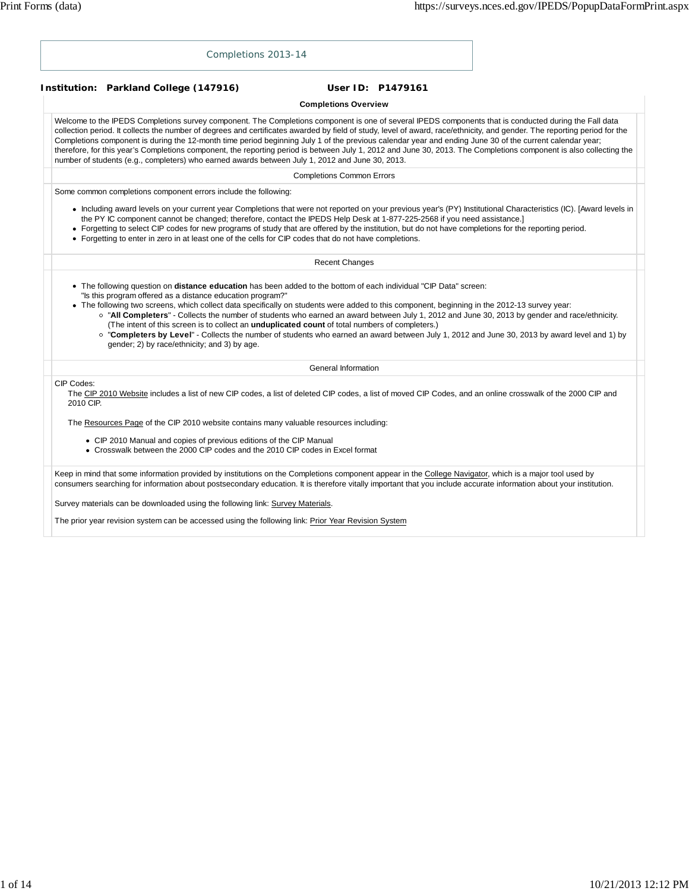|                         | Completions 2013-14                                                                                                                                                                                                                                                                                                                                                                                                                                                                                                                                                                                                                                                                                                                                                                                |                                  |                   |  |
|-------------------------|----------------------------------------------------------------------------------------------------------------------------------------------------------------------------------------------------------------------------------------------------------------------------------------------------------------------------------------------------------------------------------------------------------------------------------------------------------------------------------------------------------------------------------------------------------------------------------------------------------------------------------------------------------------------------------------------------------------------------------------------------------------------------------------------------|----------------------------------|-------------------|--|
|                         | Institution: Parkland College (147916)                                                                                                                                                                                                                                                                                                                                                                                                                                                                                                                                                                                                                                                                                                                                                             |                                  | User ID: P1479161 |  |
|                         |                                                                                                                                                                                                                                                                                                                                                                                                                                                                                                                                                                                                                                                                                                                                                                                                    | <b>Completions Overview</b>      |                   |  |
|                         | Welcome to the IPEDS Completions survey component. The Completions component is one of several IPEDS components that is conducted during the Fall data<br>collection period. It collects the number of degrees and certificates awarded by field of study, level of award, race/ethnicity, and gender. The reporting period for the<br>Completions component is during the 12-month time period beginning July 1 of the previous calendar year and ending June 30 of the current calendar year;<br>therefore, for this year's Completions component, the reporting period is between July 1, 2012 and June 30, 2013. The Completions component is also collecting the<br>number of students (e.g., completers) who earned awards between July 1, 2012 and June 30, 2013.                           |                                  |                   |  |
|                         |                                                                                                                                                                                                                                                                                                                                                                                                                                                                                                                                                                                                                                                                                                                                                                                                    | <b>Completions Common Errors</b> |                   |  |
|                         | Some common completions component errors include the following:                                                                                                                                                                                                                                                                                                                                                                                                                                                                                                                                                                                                                                                                                                                                    |                                  |                   |  |
|                         | • Including award levels on your current year Completions that were not reported on your previous year's (PY) Institutional Characteristics (IC). [Award levels in<br>the PY IC component cannot be changed; therefore, contact the IPEDS Help Desk at 1-877-225-2568 if you need assistance.]<br>• Forgetting to select CIP codes for new programs of study that are offered by the institution, but do not have completions for the reporting period.<br>• Forgetting to enter in zero in at least one of the cells for CIP codes that do not have completions.                                                                                                                                                                                                                                  |                                  |                   |  |
|                         |                                                                                                                                                                                                                                                                                                                                                                                                                                                                                                                                                                                                                                                                                                                                                                                                    | <b>Recent Changes</b>            |                   |  |
|                         | • The following question on <b>distance education</b> has been added to the bottom of each individual "CIP Data" screen:<br>"Is this program offered as a distance education program?"<br>• The following two screens, which collect data specifically on students were added to this component, beginning in the 2012-13 survey year:<br>o "All Completers" - Collects the number of students who earned an award between July 1, 2012 and June 30, 2013 by gender and race/ethnicity.<br>(The intent of this screen is to collect an <i>unduplicated count</i> of total numbers of completers.)<br>o "Completers by Level" - Collects the number of students who earned an award between July 1, 2012 and June 30, 2013 by award level and 1) by<br>gender; 2) by race/ethnicity; and 3) by age. |                                  |                   |  |
|                         |                                                                                                                                                                                                                                                                                                                                                                                                                                                                                                                                                                                                                                                                                                                                                                                                    | General Information              |                   |  |
| CIP Codes:<br>2010 CIP. | The CIP 2010 Website includes a list of new CIP codes, a list of deleted CIP codes, a list of moved CIP Codes, and an online crosswalk of the 2000 CIP and                                                                                                                                                                                                                                                                                                                                                                                                                                                                                                                                                                                                                                         |                                  |                   |  |
|                         | The Resources Page of the CIP 2010 website contains many valuable resources including:                                                                                                                                                                                                                                                                                                                                                                                                                                                                                                                                                                                                                                                                                                             |                                  |                   |  |
|                         | • CIP 2010 Manual and copies of previous editions of the CIP Manual<br>• Crosswalk between the 2000 CIP codes and the 2010 CIP codes in Excel format                                                                                                                                                                                                                                                                                                                                                                                                                                                                                                                                                                                                                                               |                                  |                   |  |
|                         | Keep in mind that some information provided by institutions on the Completions component appear in the College Navigator, which is a major tool used by<br>consumers searching for information about postsecondary education. It is therefore vitally important that you include accurate information about your institution.                                                                                                                                                                                                                                                                                                                                                                                                                                                                      |                                  |                   |  |
|                         | Survey materials can be downloaded using the following link: Survey Materials.                                                                                                                                                                                                                                                                                                                                                                                                                                                                                                                                                                                                                                                                                                                     |                                  |                   |  |

The prior year revision system can be accessed using the following link: Prior Year Revision System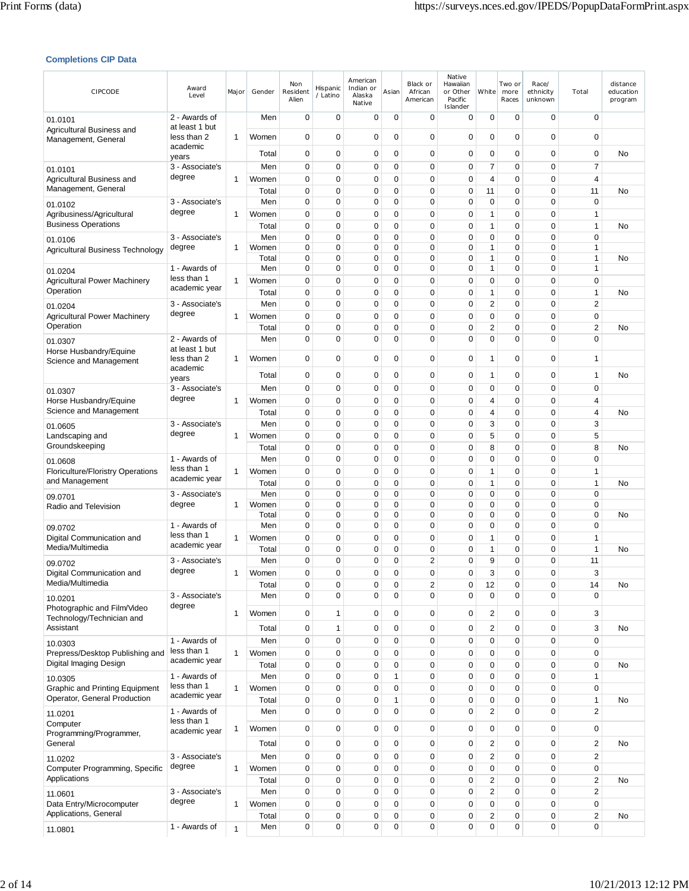## **Completions CIP Data**

| CIPCODE                                                   | Award<br>Level                  | Major        | Gender         | Non<br>Resident<br>Alien   | Hispanic<br>/ Latino       | American<br>Indian or<br>Alaska<br>Native | Asian         | Black or<br>African<br>American | Native<br>Hawaiian<br>or Other<br>Pacific<br>Islander | White          | Two or<br>more<br>Races | Race/<br>ethnicity<br>unknown | Total                    | distance<br>education<br>program |
|-----------------------------------------------------------|---------------------------------|--------------|----------------|----------------------------|----------------------------|-------------------------------------------|---------------|---------------------------------|-------------------------------------------------------|----------------|-------------------------|-------------------------------|--------------------------|----------------------------------|
| 01.0101                                                   | 2 - Awards of<br>at least 1 but |              | Men            | $\mathbf 0$                | $\mathbf 0$                | $\mathbf 0$                               | $\mathbf 0$   | $\mathbf 0$                     | 0                                                     | 0              | 0                       | $\mathbf 0$                   | $\mathbf 0$              |                                  |
| Agricultural Business and<br>Management, General          | less than 2                     | 1            | Women          | 0                          | 0                          | 0                                         | $\mathbf 0$   | $\mathbf 0$                     | 0                                                     | 0              | 0                       | $\mathbf 0$                   | $\mathbf 0$              |                                  |
|                                                           | academic<br>years               |              | Total          | 0                          | 0                          | 0                                         | 0             | 0                               | $\mathbf 0$                                           | 0              | 0                       | $\mathbf 0$                   | 0                        | No                               |
| 01.0101                                                   | 3 - Associate's                 |              | Men            | 0                          | $\mathbf 0$                | 0                                         | 0             | 0                               | 0                                                     | 7              | 0                       | $\mathbf 0$                   | 7                        |                                  |
| Agricultural Business and                                 | degree                          | 1            | Women          | 0                          | 0                          | 0                                         | 0             | 0                               | $\mathbf 0$                                           | 4              | 0                       | $\mathbf 0$                   | 4                        |                                  |
| Management, General                                       |                                 |              | Total          | 0                          | 0                          | 0                                         | 0             | 0                               | 0                                                     | 11             | 0                       | $\mathbf 0$<br>$\mathbf 0$    | 11<br>$\mathbf 0$        | No                               |
| 01.0102<br>Agribusiness/Agricultural                      | 3 - Associate's<br>degree       | 1            | Men<br>Women   | $\mathbf 0$<br>0           | 0<br>0                     | 0<br>0                                    | 0<br>0        | 0<br>$\mathbf 0$                | 0<br>0                                                | 0<br>1         | 0<br>0                  | $\mathbf 0$                   | $\mathbf{1}$             |                                  |
| <b>Business Operations</b>                                |                                 |              | Total          | $\mathbf 0$                | $\mathbf 0$                | 0                                         | 0             | 0                               | 0                                                     | 1              | 0                       | $\mathbf 0$                   | $\mathbf{1}$             | No                               |
| 01.0106                                                   | 3 - Associate's                 |              | Men            | 0                          | $\mathbf 0$                | 0                                         | 0             | 0                               | $\mathbf 0$                                           | 0              | 0                       | $\mathbf 0$                   | $\mathbf 0$              |                                  |
| Agricultural Business Technology                          | degree                          | 1            | Women          | $\mathbf 0$                | 0                          | 0                                         | 0             | 0                               | $\mathbf 0$                                           | 1              | 0                       | $\mathbf 0$                   | 1                        |                                  |
|                                                           | 1 - Awards of                   |              | Total<br>Men   | 0<br>0                     | 0<br>$\mathbf 0$           | 0<br>0                                    | 0<br>0        | 0<br>0                          | 0<br>0                                                | 1<br>1         | 0<br>0                  | $\mathbf 0$<br>$\mathbf 0$    | 1<br>1                   | No                               |
| 01.0204<br><b>Agricultural Power Machinery</b>            | less than 1                     | 1            | Women          | $\mathbf 0$                | $\mathbf 0$                | 0                                         | 0             | $\mathbf 0$                     | $\mathbf 0$                                           | 0              | 0                       | $\mathbf 0$                   | $\mathbf 0$              |                                  |
| Operation                                                 | academic year                   |              | Total          | $\mathbf 0$                | $\mathbf 0$                | 0                                         | 0             | $\mathbf 0$                     | 0                                                     | 1              | 0                       | $\mathbf 0$                   | $\mathbf{1}$             | No                               |
| 01.0204                                                   | 3 - Associate's                 |              | Men            | 0                          | $\mathbf 0$                | 0                                         | 0             | 0                               | 0                                                     | 2              | 0                       | $\mathbf 0$                   | 2                        |                                  |
| Agricultural Power Machinery                              | degree                          | 1            | Women          | $\mathbf 0$                | $\mathbf 0$                | 0                                         | 0             | $\mathbf 0$                     | 0                                                     | 0              | 0                       | $\mathbf 0$                   | $\mathbf 0$              |                                  |
| Operation                                                 |                                 |              | Total          | $\mathbf 0$                | $\mathbf 0$                | 0                                         | 0             | 0                               | $\mathbf 0$                                           | 2              | 0                       | $\mathbf 0$                   | 2                        | No                               |
| 01.0307                                                   | 2 - Awards of                   |              | Men            | $\mathbf 0$                | $\mathbf 0$                | 0                                         | $\Omega$      | $\mathbf 0$                     | $\mathbf 0$                                           | $\Omega$       | 0                       | $\mathbf 0$                   | $\Omega$                 |                                  |
| Horse Husbandry/Equine                                    | at least 1 but<br>less than 2   | 1            | Women          | $\mathbf 0$                | $\mathbf 0$                | 0                                         | 0             | 0                               | 0                                                     | 1              | 0                       | $\mathbf 0$                   | 1                        |                                  |
| Science and Management                                    | academic                        |              |                |                            |                            |                                           |               |                                 |                                                       |                |                         |                               |                          |                                  |
|                                                           | years                           |              | Total          | 0                          | 0                          | 0                                         | 0             | 0                               | 0                                                     | 1              | 0                       | $\mathbf 0$                   | 1                        | No                               |
| 01.0307                                                   | 3 - Associate's<br>degree       |              | Men            | 0                          | 0                          | 0                                         | 0             | 0                               | $\mathbf 0$                                           | 0              | 0                       | $\mathbf 0$                   | 0                        |                                  |
| Horse Husbandry/Equine<br>Science and Management          |                                 | 1            | Women<br>Total | $\mathbf 0$<br>$\mathbf 0$ | $\mathbf 0$<br>$\mathbf 0$ | $\mathbf 0$<br>0                          | 0<br>0        | $\mathbf 0$<br>0                | $\mathbf 0$<br>$\mathbf 0$                            | 4<br>4         | 0<br>0                  | $\mathbf 0$<br>$\mathbf 0$    | 4<br>4                   | No                               |
| 01.0605                                                   | 3 - Associate's                 |              | Men            | $\mathbf 0$                | $\mathbf 0$                | $\mathbf 0$                               | 0             | $\mathbf 0$                     | 0                                                     | 3              | $\mathbf 0$             | $\mathbf 0$                   | 3                        |                                  |
| Landscaping and                                           | degree                          | 1            | Women          | 0                          | 0                          | 0                                         | 0             | 0                               | $\mathbf 0$                                           | 5              | 0                       | $\mathbf 0$                   | 5                        |                                  |
| Groundskeeping                                            |                                 |              | Total          | 0                          | 0                          | 0                                         | 0             | 0                               | 0                                                     | 8              | 0                       | $\mathbf 0$                   | 8                        | No                               |
| 01.0608                                                   | 1 - Awards of                   |              | Men            | 0                          | $\mathbf 0$                | 0                                         | 0             | 0                               | 0                                                     | 0              | 0                       | $\mathbf 0$                   | $\mathbf 0$              |                                  |
| <b>Floriculture/Floristry Operations</b>                  | less than 1<br>academic year    | 1            | Women          | $\mathbf 0$                | $\mathbf 0$                | 0                                         | 0             | 0                               | 0                                                     | 1              | 0                       | $\mathbf 0$                   | $\mathbf{1}$             |                                  |
| and Management                                            |                                 |              | Total          | $\mathbf 0$                | $\mathbf 0$                | 0                                         | 0             | 0                               | $\mathbf 0$                                           | 1              | 0                       | $\mathbf 0$                   | 1                        | No                               |
| 09.0701                                                   | 3 - Associate's<br>degree       | 1            | Men<br>Women   | 0<br>0                     | $\mathbf 0$<br>$\mathbf 0$ | 0<br>0                                    | 0<br>0        | $\mathbf 0$<br>0                | $\mathbf 0$<br>0                                      | 0<br>0         | 0<br>$\mathbf 0$        | $\mathbf 0$<br>$\mathbf 0$    | $\mathbf 0$<br>$\pmb{0}$ |                                  |
| Radio and Television                                      |                                 |              | Total          | 0                          | 0                          | 0                                         | 0             | 0                               | 0                                                     | 0              | 0                       | $\mathbf 0$                   | $\mathbf 0$              | No                               |
| 09.0702                                                   | 1 - Awards of                   |              | Men            | 0                          | 0                          | 0                                         | 0             | 0                               | 0                                                     | 0              | 0                       | 0                             | 0                        |                                  |
| Digital Communication and                                 | less than 1<br>academic year    | 1            | Women          | $\mathbf 0$                | 0                          | 0                                         | 0             | $\mathbf 0$                     | $\mathbf 0$                                           | 1              | 0                       | $\mathbf 0$                   | 1                        |                                  |
| Media/Multimedia                                          |                                 |              | Total          | 0                          | $\mathbf 0$                | 0                                         | 0             | 0                               | $\mathbf 0$                                           | 1              | 0                       | $\mathbf 0$                   | $\mathbf{1}$             | No                               |
| 09.0702                                                   | 3 - Associate's<br>degree       |              | Men            | 0                          | 0                          | 0                                         | 0             | 2                               | $\mathbf 0$                                           | 9              | 0                       | 0                             | 11                       |                                  |
| Digital Communication and<br>Media/Multimedia             |                                 | 1            | Women<br>Total | $\Omega$<br>$\mathbf 0$    | $\mathbf 0$<br>0           | $\Omega$<br>0                             | $\Omega$<br>0 | $\Omega$<br>2                   | $\mathbf 0$<br>0                                      | 3<br>12        | 0<br>0                  | $\mathbf 0$<br>$\pmb{0}$      | 3<br>14                  | No                               |
| 10.0201                                                   | 3 - Associate's                 |              | Men            | $\mathbf 0$                | $\overline{0}$             | 0                                         | 0             | 0                               | $\pmb{0}$                                             | 0              | 0                       | $\mathbf 0$                   | $\mathbf 0$              |                                  |
| Photographic and Film/Video                               | degree                          |              |                |                            |                            |                                           |               |                                 |                                                       |                |                         |                               |                          |                                  |
| Technology/Technician and                                 |                                 | 1            | Women          | $\mathbf 0$                | $\mathbf{1}$               | 0                                         | 0             | 0                               | 0                                                     | $\overline{2}$ | 0                       | $\mathbf 0$                   | 3                        |                                  |
| Assistant                                                 |                                 |              | Total          | $\mathbf 0$                | 1                          | 0                                         | 0             | 0                               | $\pmb{0}$                                             | 2              | 0                       | $\mathbf 0$                   | 3                        | No                               |
| 10.0303                                                   | 1 - Awards of<br>less than 1    |              | Men            | $\mathbf 0$                | 0                          | 0                                         | 0             | 0                               | 0                                                     | $\mathbf 0$    | 0                       | $\mathbf 0$                   | $\mathbf 0$              |                                  |
| Prepress/Desktop Publishing and<br>Digital Imaging Design | academic year                   | $\mathbf{1}$ | Women<br>Total | $\mathbf 0$<br>$\mathbf 0$ | $\mathbf 0$<br>0           | 0<br>0                                    | 0<br>0        | 0<br>$\pmb{0}$                  | 0<br>$\pmb{0}$                                        | 0<br>0         | $\pmb{0}$<br>0          | $\mathbf 0$<br>$\mathbf 0$    | $\pmb{0}$<br>$\pmb{0}$   | No                               |
| 10.0305                                                   | 1 - Awards of                   |              | Men            | $\mathbf 0$                | $\mathbf 0$                | 0                                         | 1             | 0                               | 0                                                     | 0              | 0                       | $\mathbf 0$                   | 1                        |                                  |
| <b>Graphic and Printing Equipment</b>                     | less than 1                     | 1            | Women          | $\mathbf 0$                | $\mathbf 0$                | 0                                         | 0             | 0                               | 0                                                     | 0              | 0                       | $\mathbf 0$                   | $\mathbf 0$              |                                  |
| Operator, General Production                              | academic year                   |              | Total          | $\mathbf 0$                | $\mathbf 0$                | 0                                         | 1             | $\pmb{0}$                       | $\pmb{0}$                                             | 0              | 0                       | $\mathbf 0$                   | $\mathbf{1}$             | No                               |
| 11.0201                                                   | 1 - Awards of                   |              | Men            | $\mathbf 0$                | 0                          | 0                                         | $\mathbf 0$   | 0                               | 0                                                     | $\overline{2}$ | $\pmb{0}$               | $\mathbf 0$                   | $\overline{2}$           |                                  |
| Computer                                                  | less than 1<br>academic year    | 1            | Women          | $\mathbf 0$                | $\mathbf 0$                | 0                                         | 0             | $\pmb{0}$                       | $\pmb{0}$                                             | $\mathbf 0$    | 0                       | $\mathbf 0$                   | 0                        |                                  |
| Programming/Programmer,<br>General                        |                                 |              | Total          | $\mathbf 0$                | $\mathbf 0$                | 0                                         | 0             | $\pmb{0}$                       | $\pmb{0}$                                             | 2              | 0                       | $\mathbf 0$                   | 2                        | No                               |
|                                                           | 3 - Associate's                 |              | Men            | $\mathbf 0$                | $\mathbf 0$                | 0                                         | 0             | 0                               | 0                                                     | 2              | 0                       | $\mathbf 0$                   | 2                        |                                  |
| 11.0202<br>Computer Programming, Specific                 | degree                          | $\mathbf{1}$ | Women          | $\mathbf 0$                | $\pmb{0}$                  | $\mathbf 0$                               | 0             | 0                               | $\pmb{0}$                                             | 0              | $\pmb{0}$               | $\pmb{0}$                     | $\pmb{0}$                |                                  |
| Applications                                              |                                 |              | Total          | $\mathbf 0$                | 0                          | 0                                         | 0             | $\mathbf 0$                     | $\pmb{0}$                                             | 2              | $\pmb{0}$               | $\mathbf 0$                   | 2                        | No                               |
| 11.0601                                                   | 3 - Associate's                 |              | Men            | $\mathbf 0$                | 0                          | 0                                         | 0             | $\pmb{0}$                       | $\pmb{0}$                                             | 2              | 0                       | $\mathbf 0$                   | 2                        |                                  |
| Data Entry/Microcomputer                                  | degree                          | $\mathbf{1}$ | Women          | $\mathbf 0$                | 0                          | 0                                         | 0             | 0                               | 0                                                     | 0              | 0                       | $\mathbf 0$                   | $\mathbf 0$              |                                  |
| Applications, General                                     |                                 |              | Total          | $\pmb{0}$                  | $\pmb{0}$                  | 0                                         | 0             | 0                               | $\pmb{0}$                                             | 2              | $\pmb{0}$               | $\mathbf 0$                   | 2                        | No                               |
| 11.0801                                                   | 1 - Awards of                   | $\mathbf{1}$ | Men            | 0                          | 0                          | 0                                         | 0             | 0                               | $\pmb{0}$                                             | 0              | 0                       | 0                             | 0                        |                                  |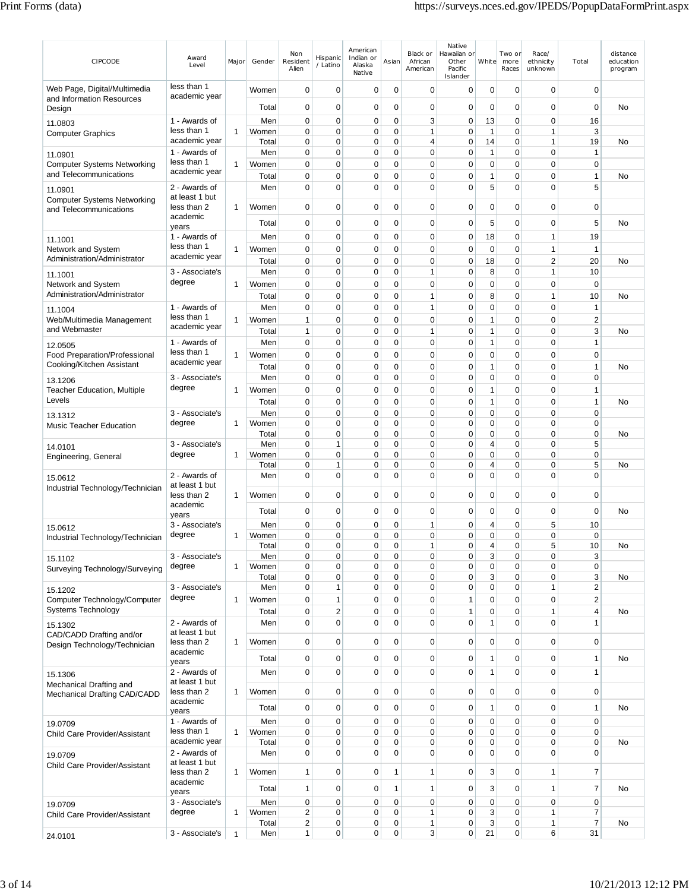| CIPCODE                                                   | Award<br>Level                  | Major        | Gender         | Non<br>Resident<br>Alien | Hispanic<br>/ Latino             | American<br>Indian or<br>Alaska<br>Native | Asian            | Black or<br>African<br>American | Native<br>Hawaiian or<br>Other<br>Pacific<br>Islander | White                       | Two or<br>more<br>Races | Race/<br>ethnicity<br>unknown | Total                       | distance<br>education<br>program |
|-----------------------------------------------------------|---------------------------------|--------------|----------------|--------------------------|----------------------------------|-------------------------------------------|------------------|---------------------------------|-------------------------------------------------------|-----------------------------|-------------------------|-------------------------------|-----------------------------|----------------------------------|
| Web Page, Digital/Multimedia<br>and Information Resources | less than 1<br>academic year    |              | Women          | $\mathbf 0$              | $\mathbf 0$                      | 0                                         | $\mathbf 0$      | 0                               | 0                                                     | 0                           | 0                       | $\mathbf 0$                   | $\mathbf 0$                 |                                  |
| Design                                                    |                                 |              | Total          | 0                        | 0                                | 0                                         | 0                | 0                               | 0                                                     | 0                           | 0                       | $\mathbf 0$                   | 0                           | No                               |
| 11.0803                                                   | 1 - Awards of                   |              | Men            | 0                        | 0                                | 0                                         | 0                | 3                               | 0                                                     | 13                          | 0                       | $\mathbf 0$                   | 16                          |                                  |
| <b>Computer Graphics</b>                                  | less than 1<br>academic year    | 1            | Women<br>Total | 0<br>0                   | 0<br>0                           | 0<br>$\mathbf 0$                          | 0<br>0           | 1<br>4                          | 0<br>0                                                | $\mathbf{1}$<br>14          | 0<br>$\mathbf 0$        | 1<br>$\mathbf{1}$             | 3<br>19                     | <b>No</b>                        |
| 11.0901                                                   | 1 - Awards of                   |              | Men            | $\mathbf 0$              | $\mathbf 0$                      | $\mathbf 0$                               | 0                | 0                               | $\mathbf 0$                                           | $\mathbf{1}$                | 0                       | $\mathbf 0$                   | $\mathbf{1}$                |                                  |
| <b>Computer Systems Networking</b>                        | less than 1                     | 1            | Women          | 0                        | 0                                | 0                                         | 0                | 0                               | 0                                                     | 0                           | 0                       | 0                             | 0                           |                                  |
| and Telecommunications                                    | academic year                   |              | Total          | 0                        | 0                                | 0                                         | 0                | 0                               | 0                                                     | $\mathbf{1}$                | 0                       | $\mathbf 0$                   | 1                           | No                               |
| 11.0901                                                   | 2 - Awards of                   |              | Men            | $\mathbf 0$              | $\overline{0}$                   | 0                                         | 0                | 0                               | $\mathbf 0$                                           | 5                           | 0                       | $\mathbf 0$                   | 5                           |                                  |
| <b>Computer Systems Networking</b>                        | at least 1 but                  |              |                |                          |                                  |                                           |                  |                                 |                                                       |                             |                         |                               |                             |                                  |
| and Telecommunications                                    | less than 2<br>academic         | 1            | Women          | 0                        | 0                                | 0                                         | 0                | 0                               | 0                                                     | 0                           | 0                       | $\mathbf 0$                   | 0                           |                                  |
|                                                           | years                           |              | Total          | 0                        | $\mathbf 0$                      | $\mathbf 0$                               | 0                | 0                               | $\mathbf 0$                                           | 5                           | 0                       | $\mathbf 0$                   | 5                           | No                               |
| 11.1001                                                   | 1 - Awards of                   |              | Men            | $\mathbf 0$              | $\mathbf 0$                      | $\mathbf 0$                               | 0                | $\mathbf 0$                     | 0                                                     | 18                          | $\mathbf 0$             | 1                             | 19                          |                                  |
| Network and System                                        | less than 1<br>academic year    | 1            | Women          | 0                        | 0                                | 0                                         | 0                | 0                               | 0                                                     | $\mathbf 0$                 | 0                       | 1                             | $\mathbf{1}$                |                                  |
| Administration/Administrator                              |                                 |              | Total          | 0                        | 0                                | 0                                         | 0                | 0                               | 0                                                     | 18                          | 0                       | 2                             | 20                          | No                               |
| 11.1001<br>Network and System                             | 3 - Associate's<br>degree       | 1            | Men            | 0<br>0                   | 0<br>0                           | 0<br>0                                    | $\mathbf 0$<br>0 | 1<br>0                          | 0<br>0                                                | 8<br>0                      | 0<br>0                  | 1<br>$\mathbf 0$              | 10<br>$\mathbf 0$           |                                  |
| Administration/Administrator                              |                                 |              | Women<br>Total | 0                        | 0                                | 0                                         | 0                | 1                               | 0                                                     | 8                           | 0                       | 1                             | 10                          | No                               |
|                                                           | 1 - Awards of                   |              | Men            | $\mathbf 0$              | 0                                | 0                                         | 0                | 1                               | 0                                                     | $\mathbf 0$                 | $\mathbf 0$             | $\mathbf 0$                   | $\mathbf{1}$                |                                  |
| 11.1004<br>Web/Multimedia Management                      | less than 1                     | 1            | Women          | $\overline{1}$           | 0                                | 0                                         | 0                | 0                               | 0                                                     | 1                           | 0                       | $\mathbf 0$                   | $\overline{2}$              |                                  |
| and Webmaster                                             | academic year                   |              | Total          | $\mathbf{1}$             | $\mathbf 0$                      | $\mathbf 0$                               | 0                | 1                               | $\mathbf 0$                                           | $\mathbf{1}$                | 0                       | $\mathbf 0$                   | 3                           | No                               |
| 12.0505                                                   | 1 - Awards of                   |              | Men            | $\mathbf 0$              | $\mathbf 0$                      | 0                                         | 0                | 0                               | $\mathbf 0$                                           | $\mathbf{1}$                | 0                       | $\mathbf 0$                   | $\mathbf{1}$                |                                  |
| <b>Food Preparation/Professional</b>                      | less than 1                     | 1            | Women          | $\mathbf 0$              | $\mathbf 0$                      | 0                                         | 0                | 0                               | $\mathbf 0$                                           | $\mathbf 0$                 | 0                       | $\mathbf 0$                   | $\mathbf 0$                 |                                  |
| Cooking/Kitchen Assistant                                 | academic year                   |              | Total          | 0                        | 0                                | 0                                         | 0                | 0                               | 0                                                     | 1                           | 0                       | 0                             | $\mathbf{1}$                | No                               |
| 13.1206                                                   | 3 - Associate's                 |              | Men            | $\mathbf 0$              | 0                                | $\mathbf 0$                               | 0                | $\mathbf 0$                     | 0                                                     | $\mathbf 0$                 | 0                       | $\mathbf 0$                   | $\mathbf 0$                 |                                  |
| <b>Teacher Education, Multiple</b><br>Levels              | degree                          | 1            | Women          | $\mathbf 0$              | $\mathbf 0$                      | 0                                         | 0                | 0                               | $\mathbf 0$                                           | $\overline{1}$              | 0                       | 0                             | $\mathbf{1}$                |                                  |
|                                                           | 3 - Associate's                 |              | Total<br>Men   | 0<br>$\mathbf 0$         | $\mathbf 0$<br>0                 | 0<br>0                                    | 0<br>0           | 0<br>0                          | 0<br>0                                                | $\mathbf{1}$<br>$\mathbf 0$ | 0<br>0                  | $\mathbf 0$<br>$\mathbf 0$    | $\mathbf{1}$<br>$\mathbf 0$ | No                               |
| 13.1312<br><b>Music Teacher Education</b>                 | degree                          | 1            | Women          | $\mathbf 0$              | $\mathbf 0$                      | 0                                         | 0                | 0                               | $\mathbf 0$                                           | $\mathbf 0$                 | 0                       | $\mathbf 0$                   | $\mathbf 0$                 |                                  |
|                                                           |                                 |              | Total          | $\mathbf 0$              | 0                                | 0                                         | 0                | 0                               | $\mathbf 0$                                           | 0                           | 0                       | $\mathbf 0$                   | $\mathbf 0$                 | No                               |
| 14.0101                                                   | 3 - Associate's                 |              | Men            | $\mathbf 0$              | 1                                | 0                                         | $\mathbf 0$      | 0                               | $\mathbf 0$                                           | $\overline{4}$              | 0                       | 0                             | 5                           |                                  |
| Engineering, General                                      | degree                          | 1            | Women          | 0                        | 0                                | 0                                         | 0                | 0                               | $\mathbf 0$<br>0                                      | 0<br>4                      | 0<br>0                  | 0<br>0                        | 0<br>5                      |                                  |
|                                                           | 2 - Awards of                   |              | Total<br>Men   | 0<br>0                   | 1<br>0                           | 0<br>0                                    | 0<br>0           | 0<br>0                          | $\mathbf 0$                                           | $\mathbf 0$                 | 0                       | 0                             | $\mathbf 0$                 | No                               |
| 15.0612<br>Industrial Technology/Technician               | at least 1 but                  |              |                |                          |                                  |                                           |                  |                                 |                                                       |                             |                         |                               |                             |                                  |
|                                                           | less than 2                     | 1            | Women          | $\mathbf 0$              | $\mathbf 0$                      | 0                                         | 0                | 0                               | $\mathbf 0$                                           | $\mathbf 0$                 | 0                       | $\mathbf 0$                   | $\mathbf 0$                 |                                  |
|                                                           | academic<br>years               |              | Total          | 0                        | 0                                | 0                                         | 0                | 0                               | 0                                                     | 0                           | 0                       | $\mathbf 0$                   | $\mathbf 0$                 | <b>No</b>                        |
| 15.0612                                                   | 3 - Associate's                 |              | Men            | $\mathbf 0$              | 0                                | 0                                         | $\mathbf 0$      | 1                               | 0                                                     | 4                           | 0                       | 5                             | 10                          |                                  |
| Industrial Technology/Technician                          | degree                          | 1            | Women          | $\Omega$                 | 0                                | 0                                         | 0                | 0                               | 0                                                     | 0                           | 0                       | 0                             | 0                           |                                  |
|                                                           | 3 - Associate's                 |              | Total<br>Men   | $\pmb{0}$<br>0           | 0<br>0                           | 0                                         | 0<br>0           | ٠<br>0                          | 0<br>0                                                | 3                           | 0<br>0                  | 5<br>0                        | 10<br>3                     | No                               |
| 15.1102<br>Surveying Technology/Surveying                 | degree                          | 1            | Women          | 0                        | 0                                | 0                                         | 0                | 0                               | 0                                                     | 0                           | 0                       | 0                             | 0                           |                                  |
|                                                           |                                 |              | Total          | $\mathbf 0$              | 0                                | 0                                         | 0                | 0                               | 0                                                     | 3                           | 0                       | $\mathbf 0$                   | 3                           | No                               |
| 15.1202                                                   | 3 - Associate's                 |              | Men            | $\pmb{0}$                | 1                                | $\mathbf 0$                               | 0                | $\mathbf 0$                     | 0                                                     | $\mathbf 0$                 | $\mathbf 0$             | 1                             | $\overline{c}$              |                                  |
| Computer Technology/Computer                              | degree                          | 1            | Women          | $\mathbf 0$              | 1                                | 0                                         | 0                | 0                               | 1                                                     | $\mathbf 0$                 | 0                       | 0                             | $\overline{2}$              |                                  |
| <b>Systems Technology</b>                                 |                                 |              | Total          | $\mathbf 0$              | $\overline{c}$<br>$\overline{0}$ | 0                                         | 0                | 0                               | $\mathbf{1}$                                          | $\mathbf 0$                 | 0                       | 1                             | $\overline{4}$              | No                               |
| 15.1302<br>CAD/CADD Drafting and/or                       | 2 - Awards of<br>at least 1 but |              | Men            | $\mathbf 0$              |                                  | 0                                         | 0                | 0                               | $\mathbf 0$                                           | $\mathbf{1}$                | 0                       | $\mathbf 0$                   | 1                           |                                  |
| Design Technology/Technician                              | less than 2                     | 1            | Women          | $\mathbf 0$              | $\mathbf 0$                      | 0                                         | $\mathbf 0$      | $\mathbf 0$                     | $\mathbf 0$                                           | $\mathbf 0$                 | 0                       | $\mathbf 0$                   | $\mathbf 0$                 |                                  |
|                                                           | academic                        |              | Total          | $\mathbf 0$              | $\mathbf 0$                      | 0                                         | 0                | 0                               | $\mathbf 0$                                           | $\mathbf{1}$                | 0                       | $\mathbf 0$                   | $\mathbf{1}$                | <b>No</b>                        |
| 15.1306                                                   | years<br>2 - Awards of          |              | Men            | $\mathbf 0$              | $\mathbf 0$                      | $\mathbf 0$                               | $\mathbf 0$      | $\mathbf 0$                     | $\mathbf 0$                                           | $\mathbf{1}$                | $\mathbf 0$             | $\mathbf 0$                   | $\mathbf{1}$                |                                  |
| Mechanical Drafting and                                   | at least 1 but                  |              |                |                          |                                  |                                           |                  |                                 |                                                       |                             |                         |                               |                             |                                  |
| Mechanical Drafting CAD/CADD                              | less than 2                     | 1            | Women          | $\mathbf 0$              | $\mathbf 0$                      | 0                                         | 0                | 0                               | $\mathbf 0$                                           | $\mathbf 0$                 | 0                       | $\mathbf 0$                   | $\mathbf 0$                 |                                  |
|                                                           | academic<br>years               |              | Total          | $\mathbf 0$              | $\mathbf 0$                      | 0                                         | 0                | 0                               | $\pmb{0}$                                             | 1                           | 0                       | 0                             | $\mathbf{1}$                | No                               |
| 19.0709                                                   | 1 - Awards of                   |              | Men            | $\mathbf 0$              | $\mathbf 0$                      | 0                                         | $\mathbf 0$      | 0                               | $\mathbf 0$                                           | $\mathbf 0$                 | 0                       | $\mathbf 0$                   | $\mathbf 0$                 |                                  |
| Child Care Provider/Assistant                             | less than 1                     | 1            | Women          | $\mathbf 0$              | 0                                | 0                                         | 0                | 0                               | 0                                                     | 0                           | 0                       | 0                             | $\mathbf 0$                 |                                  |
|                                                           | academic year<br>2 - Awards of  |              | Total<br>Men   | $\pmb{0}$<br>$\mathbf 0$ | 0<br>$\overline{0}$              | 0<br>0                                    | $\mathbf 0$<br>0 | 0<br>0                          | 0<br>$\mathbf 0$                                      | 0<br>$\mathbf 0$            | 0<br>0                  | 0<br>0                        | $\pmb{0}$<br>$\mathbf 0$    | No                               |
| 19.0709<br>Child Care Provider/Assistant                  | at least 1 but                  |              |                |                          |                                  |                                           |                  |                                 |                                                       |                             |                         |                               |                             |                                  |
|                                                           | less than 2                     | 1            | Women          | $\mathbf{1}$             | $\mathbf 0$                      | 0                                         | 1                | 1                               | $\mathbf 0$                                           | 3                           | 0                       | 1                             | $\overline{7}$              |                                  |
|                                                           | academic<br>years               |              | Total          | $\mathbf{1}$             | $\mathbf 0$                      | 0                                         | 1                | 1                               | $\mathbf 0$                                           | 3                           | 0                       | 1                             | $\overline{7}$              | <b>No</b>                        |
| 19.0709                                                   | 3 - Associate's                 |              | Men            | $\pmb{0}$                | $\mathbf 0$                      | $\mathbf 0$                               | $\mathbf 0$      | 0                               | 0                                                     | $\mathbf 0$                 | 0                       | $\mathbf 0$                   | $\pmb{0}$                   |                                  |
| Child Care Provider/Assistant                             | degree                          | 1            | Women          | $\overline{\mathbf{c}}$  | 0                                | 0                                         | 0                | 1                               | 0                                                     | 3                           | 0                       | 1                             | 7                           |                                  |
|                                                           |                                 |              | Total          | $\overline{\mathbf{c}}$  | 0                                | 0                                         | 0                | 1                               | 0                                                     | 3                           | 0                       | 1                             | 7                           | No                               |
| 24.0101                                                   | 3 - Associate's                 | $\mathbf{1}$ | Men            | 1                        | 0                                | 0                                         | 0                | 3                               | 0                                                     | 21                          | 0                       | 6                             | 31                          |                                  |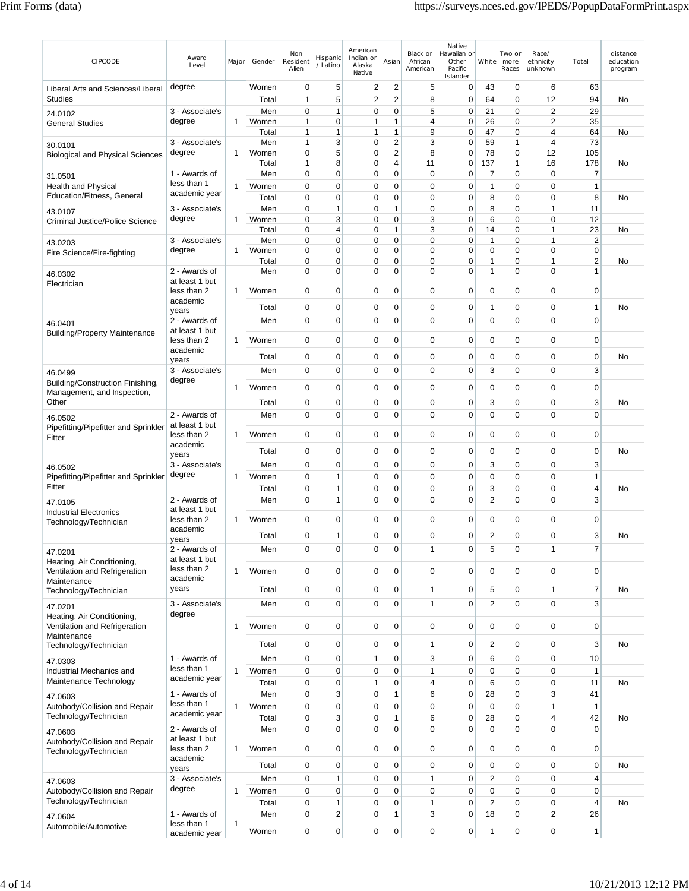| CIPCODE                                                         | Award<br>Level                | Major        | Gender         | Non<br>Resident<br>Alien   | Hispanic<br>/ Latino    | American<br>Indian or<br>Alaska<br>Native | Asian               | Black or<br>African<br>American | Native<br>Hawaiian or<br>Other<br>Pacific<br>Islander | White                   | Two or<br>more<br>Races | Race/<br>ethnicity<br>unknown | Total          | distance<br>education<br>program |
|-----------------------------------------------------------------|-------------------------------|--------------|----------------|----------------------------|-------------------------|-------------------------------------------|---------------------|---------------------------------|-------------------------------------------------------|-------------------------|-------------------------|-------------------------------|----------------|----------------------------------|
| Liberal Arts and Sciences/Liberal                               | degree                        |              | Women          | 0                          | 5                       | $\overline{2}$                            | 2                   | 5                               | 0                                                     | 43                      | $\mathbf 0$             | 6                             | 63             |                                  |
| <b>Studies</b>                                                  |                               |              | Total          | $\mathbf{1}$               | 5                       | $\overline{2}$                            | $\overline{2}$      | 8                               | $\mathbf 0$                                           | 64                      | $\mathbf 0$             | 12                            | 94             | <b>No</b>                        |
| 24.0102                                                         | 3 - Associate's               |              | Men            | 0                          | $\mathbf{1}$            | $\mathbf 0$                               | 0                   | 5                               | $\mathbf 0$                                           | 21                      | $\mathbf 0$             | $\overline{2}$                | 29             |                                  |
| <b>General Studies</b>                                          | degree                        | 1            | Women          | 1                          | 0                       | 1                                         | 1                   | 4                               | $\mathbf 0$                                           | 26                      | 0                       | $\overline{2}$                | 35             |                                  |
|                                                                 | 3 - Associate's               |              | Total<br>Men   | 1<br>1                     | 1<br>3                  | 1<br>0                                    | 1<br>$\overline{2}$ | 9<br>3                          | $\mathbf 0$<br>0                                      | 47<br>59                | 0<br>1                  | 4<br>4                        | 64<br>73       | No                               |
| 30.0101<br><b>Biological and Physical Sciences</b>              | degree                        | $\mathbf{1}$ | Women          | 0                          | 5                       | 0                                         | $\overline{2}$      | 8                               | 0                                                     | 78                      | 0                       | 12                            | 105            |                                  |
|                                                                 |                               |              | Total          | 1                          | 8                       | 0                                         | 4                   | 11                              | 0                                                     | 137                     | 1                       | 16                            | 178            | No                               |
| 31.0501                                                         | 1 - Awards of                 |              | Men            | 0                          | $\mathbf 0$             | 0                                         | 0                   | $\mathbf 0$                     | $\mathbf 0$                                           | $\overline{7}$          | $\mathbf 0$             | $\mathbf 0$                   | $\overline{7}$ |                                  |
| <b>Health and Physical</b>                                      | less than 1                   | 1            | Women          | $\mathbf 0$                | 0                       | 0                                         | 0                   | $\mathbf 0$                     | $\mathbf 0$                                           | 1                       | 0                       | $\Omega$                      | $\mathbf{1}$   |                                  |
| Education/Fitness, General                                      | academic year                 |              | Total          | $\mathbf 0$                | 0                       | 0                                         | 0                   | $\mathbf 0$                     | 0                                                     | 8                       | $\mathbf 0$             | 0                             | 8              | No                               |
| 43.0107                                                         | 3 - Associate's               |              | Men            | 0                          | 1                       | 0                                         | $\mathbf{1}$        | $\mathbf 0$                     | $\mathbf 0$                                           | 8                       | 0                       | 1                             | 11             |                                  |
| Criminal Justice/Police Science                                 | degree                        | $\mathbf{1}$ | Women<br>Total | $\mathbf 0$<br>$\mathbf 0$ | 3<br>4                  | 0<br>0                                    | 0<br>$\mathbf{1}$   | 3<br>3                          | $\mathbf 0$<br>$\mathbf 0$                            | 6<br>14                 | 0<br>0                  | 0<br>1                        | 12<br>23       | No                               |
|                                                                 | 3 - Associate's               |              | Men            | $\mathbf 0$                | 0                       | 0                                         | 0                   | $\mathbf 0$                     | $\mathbf 0$                                           | 1                       | 0                       | 1                             | $\sqrt{2}$     |                                  |
| 43.0203<br>Fire Science/Fire-fighting                           | degree                        | 1            | Women          | $\mathbf 0$                | $\Omega$                | 0                                         | 0                   | 0                               | 0                                                     | $\mathbf 0$             | 0                       | $\mathbf 0$                   | $\mathbf 0$    |                                  |
|                                                                 |                               |              | Total          | 0                          | 0                       | 0                                         | 0                   | $\mathbf 0$                     | 0                                                     | 1                       | 0                       | 1                             | $\overline{2}$ | No                               |
| 46.0302                                                         | 2 - Awards of                 |              | Men            | $\mathbf 0$                | 0                       | 0                                         | 0                   | $\mathbf 0$                     | $\mathbf 0$                                           | 1                       | 0                       | 0                             | $\mathbf{1}$   |                                  |
| Electrician                                                     | at least 1 but<br>less than 2 | 1            | Women          | $\mathbf 0$                | 0                       | 0                                         | $\mathbf 0$         | $\mathbf 0$                     | $\mathbf 0$                                           | $\mathbf 0$             | $\mathbf 0$             | $\mathbf 0$                   | $\mathbf 0$    |                                  |
|                                                                 | academic                      |              |                |                            |                         |                                           |                     |                                 |                                                       |                         |                         |                               |                |                                  |
|                                                                 | years                         |              | Total          | 0                          | 0                       | 0                                         | 0                   | 0                               | 0                                                     | 1                       | $\mathbf 0$             | 0                             | 1              | No                               |
| 46.0401                                                         | 2 - Awards of                 |              | Men            | $\mathbf 0$                | $\mathbf 0$             | 0                                         | 0                   | $\mathbf 0$                     | $\mathbf 0$                                           | $\mathbf 0$             | $\mathbf 0$             | 0                             | $\mathbf 0$    |                                  |
| <b>Building/Property Maintenance</b>                            | at least 1 but<br>less than 2 | $\mathbf{1}$ | Women          | $\mathbf 0$                | 0                       | 0                                         | 0                   | 0                               | 0                                                     | $\mathbf 0$             | 0                       | 0                             | $\mathbf 0$    |                                  |
|                                                                 | academic                      |              |                |                            |                         |                                           |                     |                                 |                                                       |                         |                         |                               |                |                                  |
|                                                                 | years                         |              | Total          | 0                          | 0                       | 0                                         | 0                   | 0                               | 0                                                     | $\mathbf 0$             | 0                       | 0                             | 0              | No                               |
| 46.0499                                                         | 3 - Associate's               |              | Men            | $\mathbf 0$                | $\mathbf 0$             | $\mathbf 0$                               | 0                   | $\mathbf 0$                     | $\mathbf 0$                                           | 3                       | $\mathbf 0$             | $\Omega$                      | 3              |                                  |
| Building/Construction Finishing,<br>Management, and Inspection, | degree                        | 1            | Women          | 0                          | 0                       | 0                                         | 0                   | 0                               | 0                                                     | 0                       | 0                       | 0                             | 0              |                                  |
| Other                                                           |                               |              | Total          | 0                          | 0                       | 0                                         | 0                   | $\mathbf 0$                     | 0                                                     | 3                       | 0                       | 0                             | 3              | No                               |
| 46.0502                                                         | 2 - Awards of                 |              | Men            | $\mathbf 0$                | 0                       | 0                                         | 0                   | $\mathbf 0$                     | $\mathbf 0$                                           | $\mathbf 0$             | $\mathbf 0$             | 0                             | $\mathbf 0$    |                                  |
| Pipefitting/Pipefitter and Sprinkler                            | at least 1 but                |              |                |                            |                         |                                           |                     |                                 |                                                       |                         |                         |                               |                |                                  |
| Fitter                                                          | less than 2                   | 1            | Women          | 0                          | 0                       | 0                                         | 0                   | 0                               | 0                                                     | 0                       | 0                       | 0                             | 0              |                                  |
|                                                                 | academic<br>years             |              | Total          | 0                          | 0                       | 0                                         | 0                   | $\mathbf 0$                     | $\mathbf 0$                                           | 0                       | $\mathbf 0$             | $\mathbf 0$                   | $\mathbf 0$    | No                               |
| 46.0502                                                         | 3 - Associate's               |              | Men            | 0                          | $\mathbf 0$             | $\mathbf 0$                               | 0                   | $\mathbf 0$                     | $\mathbf 0$                                           | 3                       | $\mathbf 0$             | 0                             | 3              |                                  |
| Pipefitting/Pipefitter and Sprinkler                            | degree                        | $\mathbf{1}$ | Women          | 0                          | 1                       | 0                                         | 0                   | $\mathbf 0$                     | $\mathbf 0$                                           | 0                       | $\mathbf 0$             | 0                             | $\mathbf{1}$   |                                  |
| Fitter                                                          |                               |              | Total          | 0                          | 1                       | 0                                         | 0                   | $\mathbf 0$                     | $\mathbf 0$                                           | 3                       | $\mathbf 0$             | $\mathbf 0$                   | 4              | No                               |
| 47.0105                                                         | 2 - Awards of                 |              | Men            | 0                          | 1                       | $\mathbf 0$                               | 0                   | $\mathbf 0$                     | $\mathbf 0$                                           | 2                       | 0                       | $\Omega$                      | 3              |                                  |
| <b>Industrial Electronics</b>                                   | at least 1 but<br>less than 2 | 1            | Women          | $\mathbf 0$                | 0                       | 0                                         | 0                   | $\mathbf 0$                     | 0                                                     | $\mathbf 0$             | 0                       | 0                             | $\mathbf 0$    |                                  |
| Technology/Technician                                           | academic                      |              |                |                            |                         |                                           |                     |                                 |                                                       |                         |                         |                               |                |                                  |
|                                                                 | years                         |              | Total          | 0                          | 1                       | 0                                         | 0                   | 0                               | 0                                                     | 2                       | 0                       | 0                             | 3              | No                               |
| 47.0201                                                         | 2 - Awards of                 |              | Men            | $\mathbf 0$                | 0                       | 0                                         | 0                   | $\mathbf{1}$                    | 0                                                     | 5                       | 0                       | 1                             | $\overline{7}$ |                                  |
| Heating, Air Conditioning,                                      | at least 1 but<br>less than 2 |              | Women          |                            | 0                       |                                           |                     |                                 |                                                       | $\mathbf 0$             |                         | 0                             |                |                                  |
| Ventilation and Refrigeration<br>Maintenance                    | academic                      | $\mathbf{1}$ |                | $\mathbf 0$                |                         | 0                                         | 0                   | $\mathbf 0$                     | $\mathbf 0$                                           |                         | $\mathbf 0$             |                               | $\pmb{0}$      |                                  |
| Technology/Technician                                           | years                         |              | Total          | $\mathbf 0$                | 0                       | 0                                         | 0                   | $\mathbf{1}$                    | 0                                                     | 5                       | 0                       | 1                             | $\overline{7}$ | No                               |
| 47.0201                                                         | 3 - Associate's               |              | Men            | $\mathbf 0$                | 0                       | 0                                         | $\mathbf 0$         | $\mathbf{1}$                    | $\mathbf 0$                                           | $\overline{2}$          | $\mathbf 0$             | 0                             | 3              |                                  |
| Heating, Air Conditioning,                                      | degree                        |              |                |                            |                         |                                           |                     |                                 |                                                       |                         |                         |                               |                |                                  |
| Ventilation and Refrigeration                                   |                               | $\mathbf{1}$ | Women          | $\mathbf 0$                | $\mathbf 0$             | 0                                         | 0                   | $\mathbf 0$                     | $\mathbf 0$                                           | $\mathbf 0$             | $\mathbf 0$             | 0                             | $\mathbf 0$    |                                  |
| Maintenance<br>Technology/Technician                            |                               |              | Total          | $\mathbf 0$                | 0                       | 0                                         | 0                   | $\mathbf{1}$                    | 0                                                     | 2                       | 0                       | 0                             | 3              | No                               |
|                                                                 | 1 - Awards of                 |              | Men            | $\mathbf 0$                | 0                       | 1                                         | $\mathbf 0$         | $\sqrt{3}$                      | $\mathbf 0$                                           | 6                       | $\mathbf 0$             | 0                             | 10             |                                  |
| 47.0303<br>Industrial Mechanics and                             | less than 1                   | $\mathbf{1}$ | Women          | 0                          | 0                       | 0                                         | 0                   | $\mathbf{1}$                    | $\mathbf 0$                                           | $\mathbf 0$             | $\mathbf 0$             | 0                             | $\mathbf{1}$   |                                  |
| Maintenance Technology                                          | academic year                 |              | Total          | $\mathbf 0$                | 0                       | 1                                         | 0                   | $\overline{4}$                  | $\mathbf 0$                                           | 6                       | $\mathbf 0$             | 0                             | 11             | No                               |
| 47.0603                                                         | 1 - Awards of                 |              | Men            | $\mathbf 0$                | 3                       | 0                                         | 1                   | 6                               | $\mathbf 0$                                           | 28                      | $\mathbf 0$             | 3                             | 41             |                                  |
| Autobody/Collision and Repair                                   | less than 1                   | $\mathbf{1}$ | Women          | $\mathbf 0$                | 0                       | 0                                         | 0                   | $\mathbf 0$                     | $\mathbf 0$                                           | $\mathbf 0$             | $\mathbf 0$             | 1                             | $\mathbf{1}$   |                                  |
| Technology/Technician                                           | academic year                 |              | Total          | $\mathbf 0$                | 3                       | 0                                         | 1                   | 6                               | $\mathbf 0$                                           | 28                      | $\mathbf 0$             | 4                             | 42             | No                               |
| 47.0603                                                         | 2 - Awards of                 |              | Men            | $\mathbf 0$                | 0                       | 0                                         | 0                   | $\mathbf 0$                     | $\mathbf 0$                                           | $\mathbf 0$             | $\mathbf 0$             | 0                             | $\mathbf 0$    |                                  |
| Autobody/Collision and Repair                                   | at least 1 but                |              |                |                            |                         |                                           |                     |                                 |                                                       |                         |                         |                               |                |                                  |
| Technology/Technician                                           | less than 2<br>academic       | 1            | Women          | $\mathbf 0$                | 0                       | 0                                         | 0                   | $\mathbf 0$                     | $\mathbf 0$                                           | 0                       | $\mathbf 0$             | 0                             | $\mathbf 0$    |                                  |
|                                                                 | years                         |              | Total          | $\mathbf 0$                | 0                       | 0                                         | 0                   | $\mathbf 0$                     | 0                                                     | $\mathbf 0$             | $\mathbf 0$             | 0                             | $\mathbf 0$    | No                               |
| 47.0603                                                         | 3 - Associate's               |              | Men            | $\mathbf 0$                | $\mathbf{1}$            | 0                                         | 0                   | $\mathbf{1}$                    | $\mathbf 0$                                           | $\overline{\mathbf{c}}$ | $\mathbf 0$             | $\mathbf 0$                   | $\overline{4}$ |                                  |
| Autobody/Collision and Repair                                   | degree                        | $\mathbf{1}$ | Women          | $\mathbf 0$                | 0                       | 0                                         | 0                   | $\mathbf 0$                     | $\mathbf 0$                                           | $\mathbf 0$             | $\mathbf 0$             | 0                             | $\mathbf 0$    |                                  |
| Technology/Technician                                           |                               |              | Total          | $\mathbf 0$                | 1                       | 0                                         | 0                   | $\mathbf{1}$                    | $\mathbf 0$                                           | $\overline{2}$          | $\mathbf 0$             | 0                             | $\overline{4}$ | No                               |
| 47.0604                                                         | 1 - Awards of<br>less than 1  | $\mathbf{1}$ | Men            | $\mathbf 0$                | $\overline{\mathbf{c}}$ | $\mathbf 0$                               | 1                   | 3                               | $\mathbf 0$                                           | 18                      | $\mathbf 0$             | $\overline{\mathbf{c}}$       | 26             |                                  |
| Automobile/Automotive                                           | academic year                 |              | Women          | $\pmb{0}$                  | 0                       | $\mathbf 0$                               | 0                   | $\mathbf 0$                     | 0                                                     | 1                       | $\mathbf 0$             | 0                             | $\mathbf{1}$   |                                  |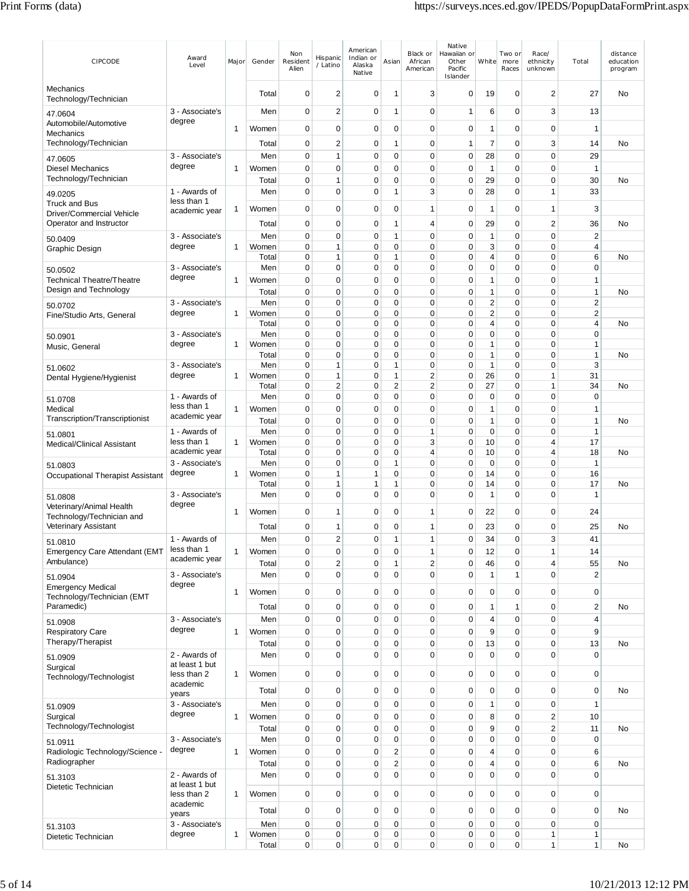| CIPCODE                                                   | Award<br>Level                   | Major        | Gender         | Non<br>Resident<br>Alien   | Hispanic<br>/ Latino    | American<br>Indian or<br>Alaska<br>Native | Asian                      | Black or<br>African<br>American | Native<br>Hawaiian or<br>Other<br>Pacific<br>Islander | White                         | Two or<br>more<br>Races | Race/<br>ethnicity<br>unknown | Total                                       | distance<br>education<br>program |
|-----------------------------------------------------------|----------------------------------|--------------|----------------|----------------------------|-------------------------|-------------------------------------------|----------------------------|---------------------------------|-------------------------------------------------------|-------------------------------|-------------------------|-------------------------------|---------------------------------------------|----------------------------------|
| Mechanics<br>Technology/Technician                        |                                  |              | Total          | 0                          | $\overline{2}$          | 0                                         | $\overline{\mathbf{1}}$    | 3                               | 0                                                     | 19                            | 0                       | 2                             | 27                                          | No                               |
| 47.0604                                                   | 3 - Associate's<br>degree        |              | Men            | $\mathbf 0$                | 2                       | $\mathbf 0$                               | $\overline{\mathbf{1}}$    | $\mathbf 0$                     | 1                                                     | 6                             | 0                       | 3                             | 13                                          |                                  |
| Automobile/Automotive<br>Mechanics                        |                                  | 1            | Women          | $\mathbf 0$                | $\pmb{0}$               | $\mathbf 0$                               | $\mathbf 0$                | $\mathbf 0$                     | $\mathbf 0$                                           | $\mathbf{1}$                  | 0                       | 0                             | 1                                           |                                  |
| Technology/Technician                                     |                                  |              | Total          | $\mathbf 0$                | $\overline{\mathbf{c}}$ | 0                                         | 1                          | $\mathbf 0$                     | 1                                                     | 7                             | 0                       | 3                             | 14                                          | No                               |
| 47.0605<br><b>Diesel Mechanics</b>                        | 3 - Associate's<br>degree        |              | Men            | 0<br>$\mathbf 0$           | 1<br>$\mathbf 0$        | 0<br>$\mathbf 0$                          | $\mathbf 0$<br>$\mathbf 0$ | $\mathbf 0$<br>$\mathbf 0$      | 0<br>$\pmb{0}$                                        | 28<br>$\mathbf{1}$            | 0<br>$\mathbf 0$        | 0<br>0                        | 29<br>$\mathbf{1}$                          |                                  |
| Technology/Technician                                     |                                  | 1            | Women<br>Total | $\mathbf 0$                | 1                       | $\mathbf 0$                               | 0                          | $\mathbf 0$                     | 0                                                     | 29                            | 0                       | 0                             | 30                                          | No                               |
| 49.0205                                                   | 1 - Awards of                    |              | Men            | 0                          | 0                       | 0                                         | 1                          | 3                               | 0                                                     | 28                            | 0                       | 1                             | 33                                          |                                  |
| <b>Truck and Bus</b><br>Driver/Commercial Vehicle         | less than 1<br>academic year     | 1            | Women          | $\mathbf 0$                | 0                       | $\mathbf 0$                               | $\mathbf 0$                | $\mathbf{1}$                    | 0                                                     | $\mathbf{1}$                  | $\mathbf 0$             | 1                             | 3                                           |                                  |
| Operator and Instructor                                   |                                  |              | Total          | 0                          | $\mathbf 0$             | 0                                         | 1                          | $\overline{4}$                  | 0                                                     | 29                            | 0                       | 2                             | 36                                          | No                               |
| 50.0409                                                   | 3 - Associate's<br>degree        | 1            | Men<br>Women   | $\mathbf 0$<br>$\mathbf 0$ | $\mathbf 0$<br>1        | $\mathbf 0$<br>$\mathbf 0$                | $\mathbf{1}$<br>0          | $\mathbf 0$<br>$\mathbf 0$      | $\pmb{0}$<br>0                                        | $\mathbf{1}$<br>3             | 0<br>0                  | $\mathbf 0$<br>0              | $\boldsymbol{2}$<br>$\overline{\mathbf{4}}$ |                                  |
| Graphic Design                                            |                                  |              | Total          | $\mathbf 0$                | 1                       | 0                                         | 1                          | $\mathbf 0$                     | 0                                                     | $\overline{4}$                | 0                       | 0                             | 6                                           | No                               |
| 50.0502                                                   | 3 - Associate's                  |              | Men            | $\mathbf 0$                | 0                       | $\mathbf 0$                               | 0                          | $\mathbf 0$                     | 0                                                     | $\mathbf 0$                   | 0                       | 0                             | $\mathbf 0$                                 |                                  |
| <b>Technical Theatre/Theatre</b><br>Design and Technology | degree                           | 1            | Women<br>Total | $\mathbf 0$<br>0           | 0<br>0                  | $\mathbf 0$<br>0                          | $\mathbf 0$<br>$\mathbf 0$ | $\mathbf 0$<br>0                | 0<br>0                                                | 1<br>1                        | 0<br>0                  | 0<br>0                        | 1<br>1                                      | No                               |
| 50.0702                                                   | 3 - Associate's                  |              | Men            | 0                          | $\mathbf 0$             | 0                                         | 0                          | $\mathbf 0$                     | 0                                                     | $\overline{2}$                | 0                       | 0                             | 2                                           |                                  |
| Fine/Studio Arts, General                                 | degree                           | 1            | Women          | 0                          | 0                       | 0                                         | 0                          | 0                               | 0                                                     | $\overline{2}$                | 0                       | 0                             | 2                                           |                                  |
|                                                           | 3 - Associate's                  |              | Total<br>Men   | $\mathbf 0$<br>$\mathbf 0$ | 0<br>0                  | $\mathbf 0$<br>$\mathbf 0$                | 0<br>$\mathbf 0$           | $\mathbf 0$<br>$\mathbf 0$      | 0<br>0                                                | $\overline{4}$<br>$\mathbf 0$ | 0<br>0                  | 0<br>0                        | 4<br>$\mathbf 0$                            | No                               |
| 50.0901<br>Music, General                                 | degree                           | 1            | Women          | 0                          | 0                       | 0                                         | 0                          | $\mathbf 0$                     | 0                                                     | $\mathbf{1}$                  | 0                       | 0                             | 1                                           |                                  |
|                                                           |                                  |              | Total          | 0                          | 0                       | 0                                         | 0                          | $\mathbf 0$                     | 0                                                     | $\mathbf{1}$                  | 0                       | 0                             | 1                                           | No                               |
| 51.0602<br>Dental Hygiene/Hygienist                       | 3 - Associate's<br>degree        | 1            | Men<br>Women   | $\mathbf 0$<br>$\mathbf 0$ | 1<br>1                  | 0<br>0                                    | 1<br>1                     | $\mathbf 0$<br>$\overline{2}$   | 0<br>0                                                | $\mathbf{1}$<br>26            | 0<br>0                  | 0<br>1                        | 3<br>31                                     |                                  |
|                                                           |                                  |              | Total          | $\mathbf 0$                | 2                       | 0                                         | $\overline{2}$             | 2                               | 0                                                     | 27                            | 0                       | 1                             | 34                                          | No                               |
| 51.0708                                                   | 1 - Awards of<br>less than 1     |              | Men            | 0                          | 0                       | $\mathbf 0$                               | 0                          | $\mathbf 0$                     | 0                                                     | $\mathbf 0$                   | 0                       | 0                             | $\mathbf 0$                                 |                                  |
| Medical<br>Transcription/Transcriptionist                 | academic year                    | 1            | Women<br>Total | 0<br>0                     | 0<br>0                  | 0<br>0                                    | 0<br>0                     | $\mathbf 0$<br>0                | 0<br>0                                                | $\mathbf{1}$<br>1             | 0<br>0                  | 0<br>0                        | 1<br>1                                      | No                               |
| 51.0801                                                   | 1 - Awards of                    |              | Men            | $\mathbf 0$                | 0                       | $\mathbf 0$                               | $\mathbf 0$                | $\mathbf{1}$                    | 0                                                     | $\mathbf 0$                   | 0                       | 0                             | $\mathbf{1}$                                |                                  |
| Medical/Clinical Assistant                                | less than 1                      | 1            | Women          | $\mathbf 0$                | 0                       | $\mathbf 0$                               | 0                          | 3                               | 0                                                     | 10                            | 0                       | 4                             | 17                                          |                                  |
|                                                           | academic year<br>3 - Associate's |              | Total<br>Men   | $\mathbf 0$<br>$\mathbf 0$ | 0<br>0                  | 0<br>0                                    | 0<br>1                     | 4<br>$\mathbf 0$                | 0<br>0                                                | 10<br>$\mathbf 0$             | 0<br>0                  | 4<br>0                        | 18<br>$\mathbf{1}$                          | No                               |
| 51.0803<br>Occupational Therapist Assistant               | degree                           | 1            | Women          | 0                          | 1                       | 1                                         | 0                          | $\mathbf 0$                     | 0                                                     | 14                            | 0                       | 0                             | 16                                          |                                  |
|                                                           |                                  |              | Total          | $\mathbf 0$                | 1                       | 1                                         | 1                          | $\mathbf 0$                     | 0                                                     | 14                            | 0                       | 0                             | 17                                          | No                               |
| 51.0808<br>Veterinary/Animal Health                       | 3 - Associate's<br>degree        |              | Men            | 0                          | 0                       | $\mathbf 0$                               | $\mathbf 0$                | $\mathbf 0$                     | 0                                                     | 1                             | 0                       | 0                             | 1                                           |                                  |
| Technology/Technician and                                 |                                  | 1            | Women          | 0                          | 1                       | 0                                         | 0                          | $\mathbf{1}$                    | 0                                                     | 22                            | 0                       | 0                             | 24                                          |                                  |
| Veterinary Assistant                                      |                                  |              | Total          | 0                          | 1                       | 0                                         | 0                          | $\mathbf{1}$                    | 0                                                     | 23                            | 0                       | 0                             | 25                                          | No                               |
| 51.0810<br>Emergency Care Attendant (EMT                  | 1 - Awards of<br>less than 1     | 1            | Men<br>Women   | 0<br>$\pmb{0}$             | 2<br>0                  | 0<br>0                                    | 1<br>$\pmb{0}$             | $\mathbf{1}$<br>$\mathbf{1}$    | 0<br>0                                                | 34<br>12                      | 0<br>0                  | 3<br>$\mathbf{1}$             | 41<br>14                                    |                                  |
| Ambulance)                                                | academic year                    |              | Total          | $\pmb{0}$                  | 2                       | 0                                         | $\mathbf{1}$               | $\sqrt{2}$                      | $\pmb{0}$                                             | 46                            | 0                       | 4                             | 55                                          | No                               |
| 51.0904                                                   | 3 - Associate's                  |              | Men            | $\mathbf 0$                | $\mathbf 0$             | 0                                         | $\mathbf 0$                | $\mathbf 0$                     | 0                                                     | $\mathbf{1}$                  | 1                       | 0                             | $\overline{c}$                              |                                  |
| <b>Emergency Medical</b>                                  | degree                           | 1            | Women          | $\pmb{0}$                  | 0                       | 0                                         | $\mathbf 0$                | $\mathbf 0$                     | 0                                                     | $\mathbf 0$                   | 0                       | 0                             | $\mathbf 0$                                 |                                  |
| Technology/Technician (EMT<br>Paramedic)                  |                                  |              | Total          | $\pmb{0}$                  | $\mathbf 0$             | $\mathbf 0$                               | $\mathbf 0$                | $\mathbf 0$                     | 0                                                     | $\mathbf{1}$                  | 1                       | $\mathbf 0$                   | $\overline{c}$                              | No                               |
| 51.0908                                                   | 3 - Associate's                  |              | Men            | $\pmb{0}$                  | 0                       | $\mathbf 0$                               | $\mathbf 0$                | $\mathbf 0$                     | 0                                                     | $\overline{4}$                | $\mathbf 0$             | 0                             | $\overline{\mathbf{4}}$                     |                                  |
| <b>Respiratory Care</b>                                   | degree                           | $\mathbf{1}$ | Women          | $\pmb{0}$                  | 0                       | 0                                         | $\mathbf 0$                | $\mathbf 0$                     | $\pmb{0}$                                             | 9                             | 0                       | 0                             | 9                                           |                                  |
| Therapy/Therapist                                         | 2 - Awards of                    |              | Total          | $\pmb{0}$<br>$\mathbf 0$   | 0<br>$\mathbf 0$        | 0<br>$\mathbf 0$                          | $\mathbf 0$<br>$\mathbf 0$ | $\mathbf 0$<br>$\mathbf 0$      | 0<br>$\pmb{0}$                                        | 13<br>$\mathbf 0$             | 0<br>$\mathbf 0$        | 0<br>$\mathbf 0$              | 13<br>$\pmb{0}$                             | No                               |
| 51.0909<br>Surgical                                       | at least 1 but                   |              | Men            |                            |                         |                                           |                            |                                 |                                                       |                               |                         |                               |                                             |                                  |
| Technology/Technologist                                   | less than 2                      | 1            | Women          | $\mathbf 0$                | $\mathbf 0$             | $\mathbf 0$                               | 0                          | $\pmb{0}$                       | 0                                                     | $\pmb{0}$                     | $\pmb{0}$               | 0                             | $\pmb{0}$                                   |                                  |
|                                                           | academic<br>years                |              | Total          | $\mathbf 0$                | $\mathbf 0$             | 0                                         | 0                          | $\pmb{0}$                       | 0                                                     | $\mathbf 0$                   | $\mathbf 0$             | 0                             | $\mathbf 0$                                 | No                               |
| 51.0909                                                   | 3 - Associate's                  |              | Men            | $\mathbf 0$                | $\mathbf 0$             | $\mathbf 0$                               | 0                          | $\mathbf 0$                     | 0                                                     | $\mathbf{1}$                  | 0                       | 0                             | 1                                           |                                  |
| Surgical<br>Technology/Technologist                       | degree                           | $\mathbf{1}$ | Women          | $\mathbf 0$                | 0                       | 0                                         | $\mathbf 0$                | $\mathbf 0$                     | 0                                                     | 8                             | 0                       | 2<br>$\overline{c}$           | 10                                          |                                  |
| 51.0911                                                   | 3 - Associate's                  |              | Total<br>Men   | $\pmb{0}$<br>$\pmb{0}$     | $\mathbf 0$<br>0        | $\mathbf 0$<br>$\mathbf 0$                | $\mathbf 0$<br>$\mathbf 0$ | $\mathbf 0$<br>$\pmb{0}$        | $\pmb{0}$<br>0                                        | 9<br>$\mathbf 0$              | 0<br>$\pmb{0}$          | $\overline{0}$                | 11<br>$\pmb{0}$                             | No                               |
| Radiologic Technology/Science -                           | degree                           | 1            | Women          | $\mathbf 0$                | $\mathbf 0$             | 0                                         | 2                          | $\mathbf 0$                     | 0                                                     | $\overline{4}$                | 0                       | 0                             | 6                                           |                                  |
| Radiographer                                              |                                  |              | Total          | $\mathbf 0$                | 0                       | 0                                         | 2                          | $\mathbf 0$                     | 0                                                     | $\overline{4}$                | 0                       | 0                             | 6                                           | No                               |
| 51.3103                                                   | 2 - Awards of<br>at least 1 but  |              | Men            | $\mathbf 0$                | 0                       | $\mathbf 0$                               | $\mathbf 0$                | $\mathbf 0$                     | $\mathbf 0$                                           | $\mathbf 0$                   | $\mathbf 0$             | $\overline{0}$                | 0                                           |                                  |
| Dietetic Technician                                       | less than 2                      | 1            | Women          | $\mathbf 0$                | $\mathbf 0$             | 0                                         | $\mathbf 0$                | $\mathbf 0$                     | 0                                                     | $\mathbf 0$                   | 0                       | 0                             | $\mathbf 0$                                 |                                  |
|                                                           | academic<br>years                |              | Total          | $\mathbf 0$                | $\mathbf 0$             | $\mathbf 0$                               | $\mathbf 0$                | $\mathbf 0$                     | 0                                                     | $\mathbf 0$                   | $\mathbf 0$             | 0                             | $\mathbf 0$                                 | No                               |
| 51.3103                                                   | 3 - Associate's                  |              | Men            | $\mathbf 0$                | 0                       | 0                                         | $\mathbf 0$                | $\mathbf 0$                     | 0                                                     | $\mathbf 0$                   | 0                       | 0                             | $\pmb{0}$                                   |                                  |
| Dietetic Technician                                       | degree                           | $\mathbf{1}$ | Women<br>Total | $\pmb{0}$<br>$\pmb{0}$     | 0<br>0                  | 0<br>0                                    | 0<br>$\mathbf 0$           | $\mathbf 0$<br>$\mathbf 0$      | 0<br>0                                                | $\pmb{0}$<br>$\pmb{0}$        | 0<br>$\mathbf 0$        | 1<br>$\mathbf{1}$             | $\mathbf{1}$<br>$\mathbf{1}$                | No                               |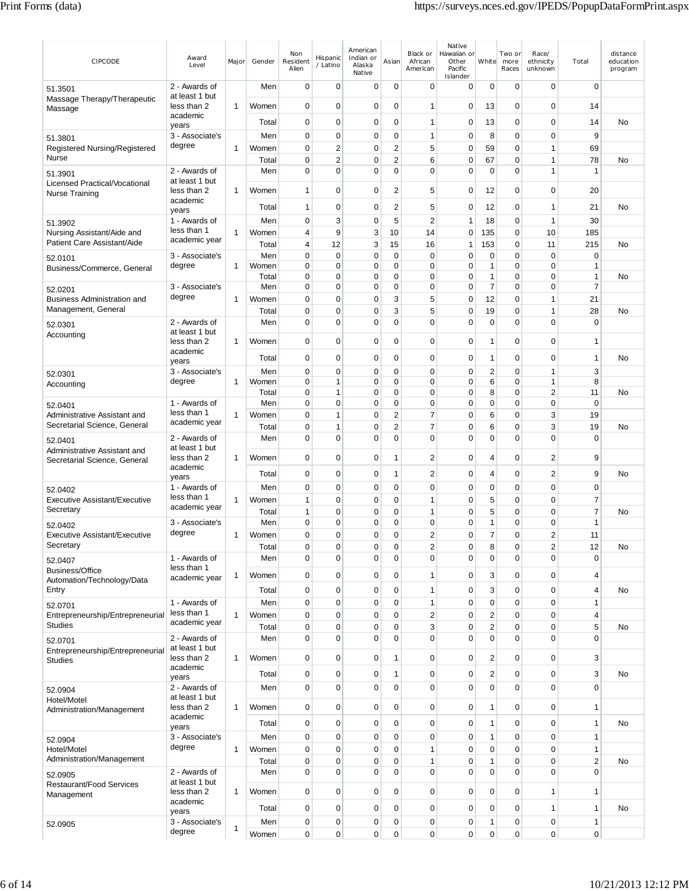| CIPCODE                                                      | Award<br>Level                  | Major        | Gender         | Non<br>Resident<br>Alien   | Hispanic<br>/ Latino         | American<br>Indian or<br>Alaska<br>Native | Asian                         | Black or<br>African<br>American | Native<br>Hawaiian or<br>Other<br>Pacific<br>Islander | White               | Two or<br>more<br>Races       | Race/<br>ethnicity<br>unknown | Total                            | distance<br>education<br>program |
|--------------------------------------------------------------|---------------------------------|--------------|----------------|----------------------------|------------------------------|-------------------------------------------|-------------------------------|---------------------------------|-------------------------------------------------------|---------------------|-------------------------------|-------------------------------|----------------------------------|----------------------------------|
| 51.3501                                                      | 2 - Awards of                   |              | Men            | $\mathbf 0$                | 0                            | 0                                         | 0                             | $\mathbf 0$                     | 0                                                     | 0                   | 0                             | 0                             | $\mathbf 0$                      |                                  |
| Massage Therapy/Therapeutic<br>Massage                       | at least 1 but<br>less than 2   | 1            | Women          | $\mathbf 0$                | $\mathbf 0$                  | 0                                         | $\mathbf 0$                   | $\mathbf{1}$                    | 0                                                     | 13                  | 0                             | $\mathbf 0$                   | 14                               |                                  |
|                                                              | academic<br>years               |              | Total          | $\mathbf 0$                | $\mathbf 0$                  | 0                                         | $\mathbf 0$                   | $\mathbf{1}$                    | $\mathbf 0$                                           | 13                  | 0                             | $\mathbf 0$                   | 14                               | No                               |
| 51.3801                                                      | 3 - Associate's                 |              | Men            | $\mathbf 0$                | $\mathbf 0$                  | 0                                         | $\mathbf 0$                   | $\mathbf{1}$                    | $\mathbf 0$                                           | 8                   | 0                             | 0                             | 9                                |                                  |
| Registered Nursing/Registered<br>Nurse                       | degree                          | $\mathbf{1}$ | Women          | $\mathbf 0$                | $\overline{2}$               | 0                                         | $\overline{2}$                | 5                               | $\mathbf 0$                                           | 59                  | $\mathbf 0$                   | $\mathbf{1}$                  | 69                               |                                  |
|                                                              | 2 - Awards of                   |              | Total<br>Men   | 0<br>0                     | $\overline{2}$<br>$\Omega$   | 0<br>0                                    | $\overline{2}$<br>$\mathbf 0$ | 6<br>$\mathbf 0$                | $\mathbf 0$<br>0                                      | 67<br>$\mathbf 0$   | $\overline{0}$<br>0           | 1<br>1                        | 78<br>$\mathbf{1}$               | No                               |
| 51.3901<br>Licensed Practical/Vocational                     | at least 1 but                  |              |                |                            |                              |                                           |                               |                                 |                                                       |                     |                               |                               |                                  |                                  |
| Nurse Training                                               | less than 2<br>academic         | 1            | Women<br>Total | $\mathbf{1}$<br>1          | $\mathbf 0$<br>0             | 0<br>0                                    | $\overline{\mathbf{c}}$<br>2  | 5<br>5                          | $\mathbf 0$<br>0                                      | 12<br>12            | 0<br>0                        | $\mathbf 0$<br>1              | 20<br>21                         | No                               |
| 51.3902                                                      | years<br>1 - Awards of          |              | Men            | $\mathbf 0$                | 3                            | 0                                         | 5                             | $\overline{2}$                  | $\mathbf{1}$                                          | 18                  | 0                             | $\mathbf{1}$                  | 30                               |                                  |
| Nursing Assistant/Aide and                                   | less than 1                     | 1            | Women          | 4                          | 9                            | 3                                         | 10                            | 14                              | $\mathbf 0$                                           | 135                 | 0                             | 10                            | 185                              |                                  |
| Patient Care Assistant/Aide                                  | academic year                   |              | Total          | 4                          | 12                           | 3                                         | 15                            | 16                              | 1                                                     | 153                 | 0                             | 11                            | 215                              | No                               |
| 52.0101                                                      | 3 - Associate's<br>degree       | 1            | Men<br>Women   | $\mathbf 0$<br>0           | $\mathbf 0$<br>$\mathbf 0$   | 0<br>$\mathbf 0$                          | 0<br>$\mathbf 0$              | $\mathbf 0$<br>$\mathbf 0$      | 0<br>$\mathbf 0$                                      | 0<br>1              | 0<br>0                        | $\mathbf 0$<br>$\mathbf 0$    | $\mathbf 0$<br>$\mathbf{1}$      |                                  |
| Business/Commerce, General                                   |                                 |              | Total          | $\mathbf 0$                | $\mathbf 0$                  | 0                                         | $\mathbf 0$                   | $\mathbf 0$                     | $\mathbf 0$                                           | 1                   | $\mathbf 0$                   | $\mathbf 0$                   | $\mathbf{1}$                     | No                               |
| 52.0201                                                      | 3 - Associate's                 |              | Men            | 0                          | 0                            | 0                                         | $\mathbf 0$                   | $\mathbf 0$                     | $\mathbf 0$                                           | $\overline{7}$      | $\overline{0}$                | $\mathbf 0$                   | $\overline{7}$                   |                                  |
| <b>Business Administration and</b>                           | degree                          | 1            | Women          | 0                          | 0                            | 0                                         | 3                             | 5                               | 0                                                     | 12                  | 0                             | 1                             | 21                               |                                  |
| Management, General                                          | 2 - Awards of                   |              | Total<br>Men   | 0<br>$\mathbf 0$           | 0<br>$\Omega$                | 0<br>$\mathbf 0$                          | 3<br>$\mathbf 0$              | 5<br>$\mathbf 0$                | 0<br>$\mathbf 0$                                      | 19<br>0             | 0<br>$\overline{0}$           | $\mathbf{1}$<br>$\Omega$      | 28<br>$\mathbf 0$                | No                               |
| 52.0301<br>Accounting                                        | at least 1 but                  |              |                |                            |                              |                                           |                               |                                 |                                                       |                     |                               |                               |                                  |                                  |
|                                                              | less than 2<br>academic         | 1            | Women          | $\mathbf 0$                | 0                            | 0                                         | 0                             | $\mathbf 0$                     | 0                                                     | 1                   | 0                             | 0                             | $\mathbf{1}$                     |                                  |
|                                                              | years                           |              | Total          | $\mathbf 0$                | $\mathbf 0$                  | 0                                         | $\mathbf 0$                   | 0                               | $\mathbf 0$                                           | 1                   | 0                             | $\mathbf 0$                   | $\mathbf{1}$                     | No                               |
| 52.0301                                                      | 3 - Associate's                 |              | Men            | $\mathbf 0$                | $\mathbf 0$                  | 0                                         | $\mathbf 0$                   | $\mathbf 0$                     | 0                                                     | 2                   | 0                             | $\mathbf{1}$                  | 3                                |                                  |
| Accounting                                                   | degree                          | $\mathbf{1}$ | Women<br>Total | 0<br>0                     | $\mathbf{1}$<br>$\mathbf{1}$ | 0<br>0                                    | $\mathbf 0$<br>0              | $\mathbf 0$<br>$\mathbf 0$      | 0<br>$\mathbf{0}$                                     | 6<br>8              | $\mathbf 0$<br>0              | $\mathbf{1}$<br>2             | 8<br>11                          | No                               |
| 52.0401                                                      | 1 - Awards of                   |              | Men            | 0                          | $\mathbf 0$                  | 0                                         | $\mathbf 0$                   | $\mathbf 0$                     | 0                                                     | 0                   | 0                             | 0                             | $\mathbf 0$                      |                                  |
| Administrative Assistant and                                 | less than 1                     | 1            | Women          | 0                          | $\mathbf{1}$                 | 0                                         | $\overline{2}$                | $\overline{7}$                  | $\mathbf 0$                                           | 6                   | 0                             | 3                             | 19                               |                                  |
| Secretarial Science, General                                 | academic year                   |              | Total          | 0                          | 1                            | $\mathbf 0$                               | 2                             | $\overline{7}$                  | 0                                                     | 6                   | 0                             | 3                             | 19                               | No                               |
| 52.0401                                                      | 2 - Awards of<br>at least 1 but |              | Men            | $\mathbf 0$                | $\mathbf 0$                  | 0                                         | $\mathbf 0$                   | $\mathbf 0$                     | $\mathbf 0$                                           | 0                   | 0                             | 0                             | $\mathbf 0$                      |                                  |
| Administrative Assistant and<br>Secretarial Science, General | less than 2<br>academic         | 1            | Women          | 0                          | $\mathbf 0$                  | 0                                         | 1                             | $\boldsymbol{2}$                | $\mathbf 0$                                           | 4                   | 0                             | 2                             | 9                                |                                  |
|                                                              | years                           |              | Total          | $\mathbf 0$                | $\mathbf 0$                  | $\mathbf 0$                               | 1                             | $\overline{2}$                  | $\mathbf 0$                                           | 4                   | 0                             | $\overline{2}$                | 9                                | No                               |
| 52.0402                                                      | 1 - Awards of<br>less than 1    |              | Men            | $\mathbf 0$                | $\mathbf 0$                  | 0                                         | $\mathbf 0$                   | $\mathbf 0$                     | $\mathbf 0$                                           | 0                   | 0                             | $\mathbf 0$                   | $\mathbf 0$                      |                                  |
| Executive Assistant/Executive<br>Secretary                   | academic year                   | 1            | Women<br>Total | 1<br>1                     | 0<br>0                       | 0<br>0                                    | 0<br>0                        | $\mathbf{1}$<br>$\mathbf{1}$    | 0<br>0                                                | 5<br>5              | 0<br>0                        | 0<br>0                        | $\overline{7}$<br>$\overline{7}$ | No                               |
| 52.0402                                                      | 3 - Associate's                 |              | Men            | $\mathbf 0$                | 0                            | 0                                         | $\mathbf 0$                   | $\mathbf 0$                     | 0                                                     | 1                   | 0                             | 0                             | $\mathbf{1}$                     |                                  |
| <b>Executive Assistant/Executive</b>                         | degree                          | 1            | Women          | 0                          | $\Omega$                     | $\mathbf 0$                               | $\Omega$                      | $\overline{2}$                  | $\Omega$                                              | 7                   | $\Omega$                      | 2                             | 11                               |                                  |
| Secretary                                                    |                                 |              | Total          | 0                          | 0                            | 0                                         | 0                             | 2                               | 0                                                     | 8                   | 0                             | $\overline{c}$                | 12                               | No                               |
| 52.0407                                                      | 1 - Awards of<br>less than 1    |              | Men            | 0                          | 0                            | 0                                         | $\mathbf 0$                   | $\mathbf 0$                     | 0                                                     | $\mathbf 0$         | 0                             | $\mathbf 0$                   | $\mathbf 0$                      |                                  |
| Business/Office<br>Automation/Technology/Data                | academic year                   | 1            | Women          | $\mathbf 0$                | $\mathbf 0$                  | 0                                         | $\mathbf 0$                   | $\overline{1}$                  | $\mathbf 0$                                           | 3                   | $\mathbf 0$                   | $\mathbf 0$                   | $\overline{4}$                   |                                  |
| Entry                                                        |                                 |              | Total          | $\mathbf 0$                | $\mathbf 0$                  | 0                                         | $\mathbf 0$                   | $\mathbf{1}$                    | $\mathbf 0$                                           | 3                   | 0                             | $\mathbf 0$                   | $\overline{4}$                   | <b>No</b>                        |
| 52.0701                                                      | 1 - Awards of<br>less than 1    |              | Men            | $\mathbf 0$                | $\mathbf 0$                  | 0                                         | 0                             | $\mathbf{1}$                    | $\mathbf 0$                                           | 0                   | $\mathbf 0$                   | $\mathbf 0$                   | $\mathbf{1}$                     |                                  |
| Entrepreneurship/Entrepreneurial<br><b>Studies</b>           | academic year                   | $\mathbf{1}$ | Women<br>Total | $\mathbf 0$<br>$\mathbf 0$ | $\mathbf 0$<br>$\mathbf 0$   | 0<br>0                                    | 0<br>0                        | $\sqrt{2}$<br>3                 | $\mathbf 0$<br>$\mathbf 0$                            | 2<br>$\overline{c}$ | $\overline{0}$<br>$\mathbf 0$ | $\mathbf 0$<br>$\mathbf 0$    | $\overline{4}$<br>5              | No                               |
| 52.0701                                                      | 2 - Awards of                   |              | Men            | 0                          | $\mathbf 0$                  | 0                                         | $\mathbf 0$                   | $\mathbf 0$                     | 0                                                     | 0                   | $\mathbf 0$                   | $\mathbf 0$                   | $\mathbf 0$                      |                                  |
| Entrepreneurship/Entrepreneurial                             | at least 1 but                  |              |                |                            |                              |                                           |                               |                                 |                                                       |                     |                               |                               |                                  |                                  |
| <b>Studies</b>                                               | less than 2<br>academic         | 1            | Women          | $\mathbf 0$                | $\mathbf 0$                  | 0                                         | $\mathbf{1}$                  | $\mathbf 0$                     | $\mathbf 0$                                           | 2                   | 0                             | $\mathbf 0$                   | 3                                |                                  |
|                                                              | years                           |              | Total          | $\mathbf 0$                | 0                            | 0                                         | $\mathbf{1}$                  | $\mathbf 0$                     | $\mathbf 0$                                           | 2                   | 0                             | $\mathbf 0$                   | $\sqrt{3}$                       | No                               |
| 52.0904                                                      | 2 - Awards of<br>at least 1 but |              | Men            | $\mathbf 0$                | $\mathbf 0$                  | 0                                         | $\mathbf 0$                   | $\mathbf 0$                     | $\mathbf 0$                                           | $\mathbf 0$         | $\mathbf 0$                   | $\mathbf 0$                   | $\mathbf 0$                      |                                  |
| Hotel/Motel<br>Administration/Management                     | less than 2<br>academic         | 1            | Women          | $\mathbf 0$                | $\mathbf 0$                  | 0                                         | $\mathbf 0$                   | $\mathbf 0$                     | $\pmb{0}$                                             | 1                   | $\overline{0}$                | $\mathbf 0$                   | $\mathbf{1}$                     |                                  |
|                                                              | years                           |              | Total          | $\mathbf 0$                | $\mathbf 0$                  | 0                                         | $\pmb{0}$                     | $\mathbf 0$                     | $\mathbf 0$                                           | 1                   | $\overline{0}$                | $\mathbf 0$                   | $\mathbf{1}$                     | No                               |
| 52.0904                                                      | 3 - Associate's                 |              | Men            | $\mathbf 0$                | $\mathbf 0$                  | $\mathbf 0$                               | 0                             | $\mathbf 0$                     | $\mathbf 0$                                           | 1                   | 0                             | $\mathbf 0$                   | $\mathbf{1}$                     |                                  |
| Hotel/Motel<br>Administration/Management                     | degree                          | 1            | Women          | $\mathbf 0$<br>0           | $\mathbf 0$<br>$\mathbf 0$   | 0<br>0                                    | $\mathbf 0$<br>$\mathbf 0$    | $\mathbf{1}$<br>$\mathbf{1}$    | $\pmb{0}$<br>$\mathbf 0$                              | $\mathbf 0$<br>1    | 0<br>$\overline{0}$           | $\mathbf 0$<br>$\mathbf 0$    | $\mathbf{1}$<br>$\boldsymbol{2}$ | No                               |
| 52.0905                                                      | 2 - Awards of                   |              | Total<br>Men   | 0                          | $\mathbf 0$                  | 0                                         | $\mathbf 0$                   | $\mathbf 0$                     | 0                                                     | $\mathbf 0$         | 0                             | 0                             | $\mathbf 0$                      |                                  |
| <b>Restaurant/Food Services</b>                              | at least 1 but                  |              |                |                            |                              |                                           |                               |                                 |                                                       |                     |                               |                               |                                  |                                  |
| Management                                                   | less than 2<br>academic         | 1            | Women          | $\mathbf 0$                | $\mathbf 0$                  | 0                                         | $\mathbf 0$                   | $\mathbf 0$                     | $\pmb{0}$                                             | 0                   | $\mathbf 0$                   | 1                             | $\overline{1}$                   |                                  |
|                                                              | years                           |              | Total          | $\mathbf 0$                | $\mathbf 0$                  | 0                                         | $\mathbf 0$                   | $\mathbf 0$                     | $\mathbf 0$                                           | 0                   | 0                             | $\mathbf{1}$                  | $\mathbf{1}$                     | No                               |
| 52.0905                                                      | 3 - Associate's<br>degree       | 1            | Men            | 0                          | $\mathbf 0$                  | 0                                         | 0                             | $\mathbf 0$                     | $\mathbf 0$                                           | 1                   | 0                             | $\mathbf 0$                   | $\mathbf{1}$                     |                                  |
|                                                              |                                 |              | Women          | 0                          | $\mathbf 0$                  | 0                                         | 0                             | $\mathbf 0$                     | 0                                                     | 0                   | 0                             | $\mathbf 0$                   | $\pmb{0}$                        |                                  |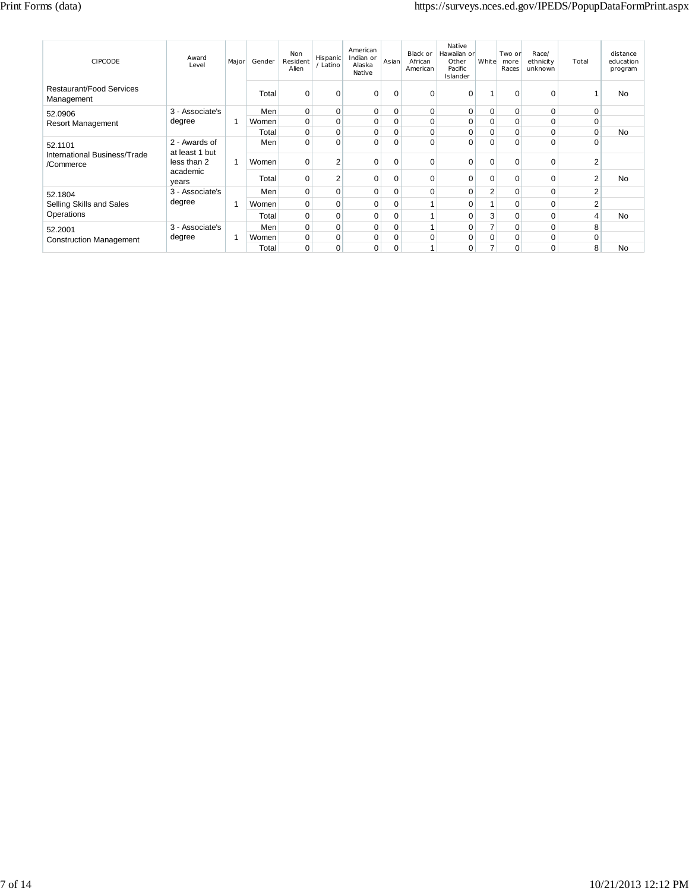| <b>CIPCODE</b>                                | Award<br>Level                  | Major | Gender | <b>Non</b><br>Resident<br>Alien | <b>Hispanic</b><br>/ Latino | American<br>Indian or<br>Alaska<br>Native | Asian       | Black or<br>African<br>American | Native<br>Hawaiian or<br>Other<br>Pacific<br>Islander | White          | Two or<br>more<br>Races | Race/<br>ethnicity<br>unknown | Total          | distance<br>education<br>program |
|-----------------------------------------------|---------------------------------|-------|--------|---------------------------------|-----------------------------|-------------------------------------------|-------------|---------------------------------|-------------------------------------------------------|----------------|-------------------------|-------------------------------|----------------|----------------------------------|
| <b>Restaurant/Food Services</b><br>Management |                                 |       | Total  | $\Omega$                        | $\Omega$                    | $\Omega$                                  | $\Omega$    | $\Omega$                        | $\Omega$                                              |                | $\Omega$                | $\Omega$                      |                | No                               |
| 52.0906                                       | 3 - Associate's                 |       | Men    | 0                               | 0                           | $\mathbf 0$                               | 0           | $\mathbf 0$                     | 0                                                     | 0              | $\mathbf 0$             | 0                             | 0              |                                  |
| <b>Resort Management</b>                      | degree                          |       | Women  | 0                               | 0                           | 0                                         | 0           | 0                               | 0                                                     | 0              | 0                       | 0                             | 0              |                                  |
|                                               |                                 |       | Total  | 0                               | 0                           | 0                                         | 0           | 0                               | 0                                                     | 0              | 0                       | 0                             | 0              | No                               |
| 52.1101                                       | 2 - Awards of<br>at least 1 but |       | Men    | 0                               | 0                           | $\Omega$                                  | $\mathbf 0$ | $\Omega$                        | 0                                                     | $\Omega$       | C                       | $\Omega$                      | $\Omega$       |                                  |
| International Business/Trade<br>/Commerce     | less than 2                     |       | Women  | $\Omega$                        | 2                           | 0                                         | 0           | 0                               | 0                                                     | $\Omega$       | $\Omega$                | 0                             | $\overline{2}$ |                                  |
|                                               | academic<br>years               |       | Total  | 0                               | $\overline{2}$              | 0                                         | 0           | 0                               | $\Omega$                                              | $\Omega$       | $\Omega$                | $\Omega$                      | $\overline{2}$ | <b>No</b>                        |
| 52.1804                                       | 3 - Associate's                 |       | Men    | $\mathbf 0$                     | 0                           | 0                                         | 0           | $\mathbf 0$                     | 0                                                     | $\overline{2}$ | 0                       | $\mathbf 0$                   | $\overline{2}$ |                                  |
| Selling Skills and Sales                      | degree                          |       | Women  | 0                               | 0                           | 0                                         | 0           |                                 | 0                                                     |                | $\Omega$                | 0                             | $\overline{2}$ |                                  |
| Operations                                    |                                 |       | Total  | 0                               | 0                           | 0                                         | 0           |                                 | 0                                                     | 3              | $\Omega$                | $\Omega$                      | 4              | No                               |
| 52.2001                                       | 3 - Associate's                 |       | Men    | 0                               | 0                           | 0                                         | 0           |                                 | 0                                                     | 7              | $\Omega$                | 0                             | 8              |                                  |
| <b>Construction Management</b>                | degree                          |       | Women  | 0                               | 0                           | 0                                         | 0           | 0                               | 0                                                     | $\mathbf 0$    | 0                       | 0                             | 0              |                                  |
|                                               |                                 |       | Total  | $\mathbf 0$                     | 0                           | 0                                         | $\mathbf 0$ |                                 | 0                                                     | 7              | 0                       | 0                             | 8              | No                               |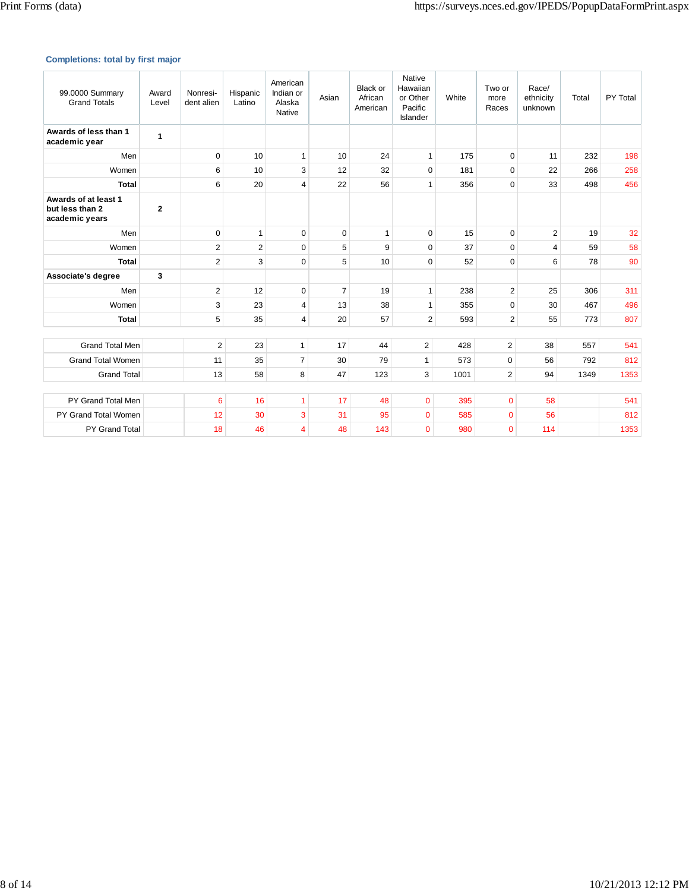# **Completions: total by first major**

| 99.0000 Summary<br><b>Grand Totals</b>                    | Award<br>Level | Nonresi-<br>dent alien | Hispanic<br>Latino | American<br>Indian or<br>Alaska<br>Native | Asian          | <b>Black or</b><br>African<br>American | Native<br>Hawaiian<br>or Other<br>Pacific<br>Islander | White | Two or<br>more<br>Races | Race/<br>ethnicity<br>unknown | Total | PY Total |
|-----------------------------------------------------------|----------------|------------------------|--------------------|-------------------------------------------|----------------|----------------------------------------|-------------------------------------------------------|-------|-------------------------|-------------------------------|-------|----------|
| Awards of less than 1<br>academic year                    | 1              |                        |                    |                                           |                |                                        |                                                       |       |                         |                               |       |          |
| Men                                                       |                | 0                      | 10                 | $\mathbf{1}$                              | 10             | 24                                     | $\mathbf{1}$                                          | 175   | $\mathbf 0$             | 11                            | 232   | 198      |
| Women                                                     |                | 6                      | 10                 | 3                                         | 12             | 32                                     | $\mathbf 0$                                           | 181   | $\mathbf 0$             | 22                            | 266   | 258      |
| <b>Total</b>                                              |                | 6                      | 20                 | 4                                         | 22             | 56                                     | $\mathbf{1}$                                          | 356   | $\Omega$                | 33                            | 498   | 456      |
| Awards of at least 1<br>but less than 2<br>academic years | $\mathbf{2}$   |                        |                    |                                           |                |                                        |                                                       |       |                         |                               |       |          |
| Men                                                       |                | 0                      | $\mathbf{1}$       | $\mathbf 0$                               | $\mathbf 0$    | $\mathbf{1}$                           | $\mathbf 0$                                           | 15    | $\mathbf 0$             | $\overline{2}$                | 19    | 32       |
| Women                                                     |                | $\overline{2}$         | $\overline{2}$     | $\mathbf 0$                               | 5              | 9                                      | $\mathbf 0$                                           | 37    | $\Omega$                | 4                             | 59    | 58       |
| <b>Total</b>                                              |                | $\overline{2}$         | 3                  | $\mathbf 0$                               | 5              | 10                                     | $\mathbf 0$                                           | 52    | $\Omega$                | 6                             | 78    | 90       |
| Associate's degree                                        | 3              |                        |                    |                                           |                |                                        |                                                       |       |                         |                               |       |          |
| Men                                                       |                | $\overline{2}$         | 12                 | $\Omega$                                  | $\overline{7}$ | 19                                     | $\mathbf{1}$                                          | 238   | $\overline{2}$          | 25                            | 306   | 311      |
| Women                                                     |                | 3                      | 23                 | $\overline{4}$                            | 13             | 38                                     | $\mathbf{1}$                                          | 355   | $\Omega$                | 30                            | 467   | 496      |
| <b>Total</b>                                              |                | 5                      | 35                 | 4                                         | 20             | 57                                     | $\overline{2}$                                        | 593   | $\overline{2}$          | 55                            | 773   | 807      |
|                                                           |                |                        |                    |                                           |                |                                        |                                                       |       |                         |                               |       |          |
| <b>Grand Total Men</b>                                    |                | $\overline{2}$         | 23                 | $\mathbf{1}$                              | 17             | 44                                     | $\mathbf{2}$                                          | 428   | $\overline{2}$          | 38                            | 557   | 541      |
| <b>Grand Total Women</b>                                  |                | 11                     | 35                 | $\overline{7}$                            | 30             | 79                                     | $\mathbf{1}$                                          | 573   | $\pmb{0}$               | 56                            | 792   | 812      |
| <b>Grand Total</b>                                        |                | 13                     | 58                 | 8                                         | 47             | 123                                    | 3                                                     | 1001  | $\overline{2}$          | 94                            | 1349  | 1353     |
| PY Grand Total Men                                        |                | 6                      | 16                 | 1                                         | 17             | 48                                     | 0                                                     | 395   | $\mathbf{0}$            | 58                            |       | 541      |
|                                                           |                |                        |                    |                                           |                |                                        |                                                       |       |                         |                               |       |          |
| PY Grand Total Women                                      |                | 12                     | 30                 | 3                                         | 31             | 95                                     | 0                                                     | 585   | $\mathbf{0}$            | 56                            |       | 812      |
| PY Grand Total                                            |                | 18                     | 46                 | $\overline{4}$                            | 48             | 143                                    | 0                                                     | 980   | $\overline{0}$          | 114                           |       | 1353     |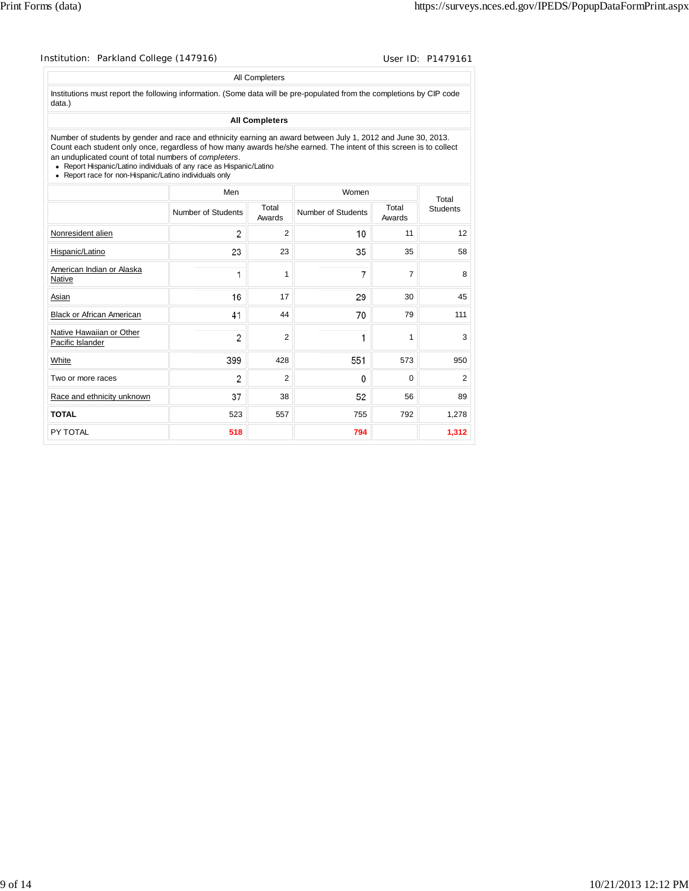|                                                                                                                                                                                                                                                                                                                                                                                                                              |                    | All Completers        |                    |       |                 |                 |
|------------------------------------------------------------------------------------------------------------------------------------------------------------------------------------------------------------------------------------------------------------------------------------------------------------------------------------------------------------------------------------------------------------------------------|--------------------|-----------------------|--------------------|-------|-----------------|-----------------|
| Institutions must report the following information. (Some data will be pre-populated from the completions by CIP code<br>data.)                                                                                                                                                                                                                                                                                              |                    |                       |                    |       |                 |                 |
|                                                                                                                                                                                                                                                                                                                                                                                                                              |                    | <b>All Completers</b> |                    |       |                 |                 |
| Number of students by gender and race and ethnicity earning an award between July 1, 2012 and June 30, 2013.<br>Count each student only once, regardless of how many awards he/she earned. The intent of this screen is to collect<br>an unduplicated count of total numbers of completers.<br>• Report Hispanic/Latino individuals of any race as Hispanic/Latino<br>• Report race for non-Hispanic/Latino individuals only |                    |                       |                    |       |                 |                 |
|                                                                                                                                                                                                                                                                                                                                                                                                                              | Men                |                       |                    | Women |                 | Total           |
|                                                                                                                                                                                                                                                                                                                                                                                                                              | Number of Students | Total<br>Awards       | Number of Students |       | Total<br>Awards | <b>Students</b> |
| Nonresident alien                                                                                                                                                                                                                                                                                                                                                                                                            | 2                  | 2                     |                    | 10    | 11              | 12              |
| Hispanic/Latino                                                                                                                                                                                                                                                                                                                                                                                                              | 23                 | 23                    |                    | 35    | 35              | 58              |
| American Indian or Alaska<br>Native                                                                                                                                                                                                                                                                                                                                                                                          | 1                  | 1                     |                    | 7     | 7               | 8               |
| Asian                                                                                                                                                                                                                                                                                                                                                                                                                        | 16                 | 17                    |                    | 29    | 30              | 45              |
| <b>Black or African American</b>                                                                                                                                                                                                                                                                                                                                                                                             | 41                 | 44                    |                    | 70    | 79              | 111             |
| Native Hawaiian or Other<br>Pacific Islander                                                                                                                                                                                                                                                                                                                                                                                 | 2                  | $\overline{2}$        |                    | 1     | 1               | 3               |
| White                                                                                                                                                                                                                                                                                                                                                                                                                        | 399                | 428                   |                    | 551   | 573             | 950             |
| Two or more races                                                                                                                                                                                                                                                                                                                                                                                                            | 2                  | $\overline{2}$        |                    | 0     | 0               | 2               |
| Race and ethnicity unknown                                                                                                                                                                                                                                                                                                                                                                                                   | 37                 | 38                    |                    | 52    | 56              | 89              |

**TOTAL** 523 557 755 792 1,278 PY TOTAL **518 794 1,312**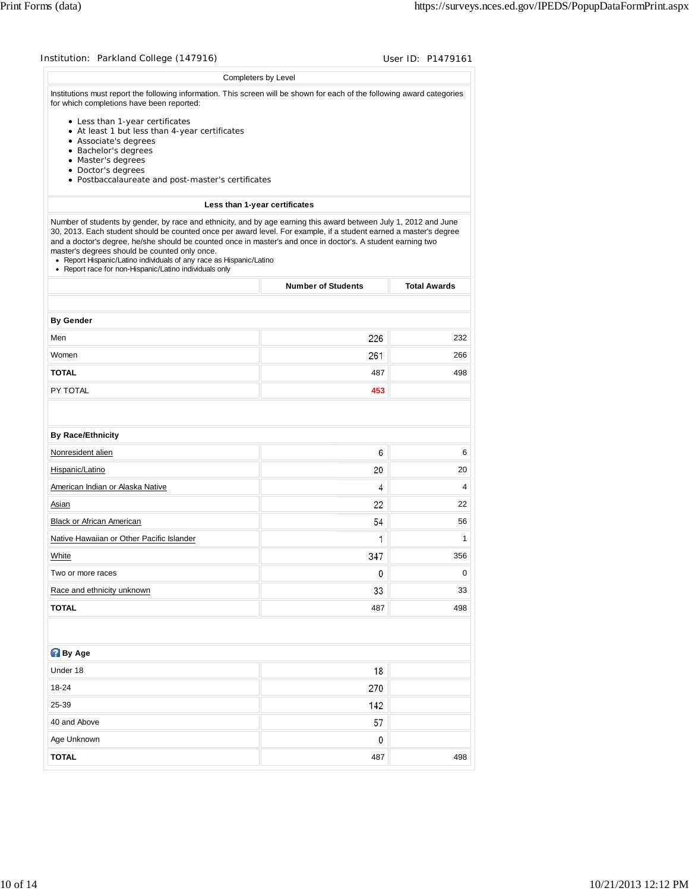|                                                                                                                                                                                                                                                                                                                                                                                                                     | Completers by Level           |                     |
|---------------------------------------------------------------------------------------------------------------------------------------------------------------------------------------------------------------------------------------------------------------------------------------------------------------------------------------------------------------------------------------------------------------------|-------------------------------|---------------------|
| Institutions must report the following information. This screen will be shown for each of the following award categories<br>for which completions have been reported:                                                                                                                                                                                                                                               |                               |                     |
| • Less than 1-year certificates                                                                                                                                                                                                                                                                                                                                                                                     |                               |                     |
| • At least 1 but less than 4-year certificates<br>• Associate's degrees                                                                                                                                                                                                                                                                                                                                             |                               |                     |
| • Bachelor's degrees                                                                                                                                                                                                                                                                                                                                                                                                |                               |                     |
| • Master's degrees                                                                                                                                                                                                                                                                                                                                                                                                  |                               |                     |
| • Doctor's degrees<br>• Postbaccalaureate and post-master's certificates                                                                                                                                                                                                                                                                                                                                            |                               |                     |
|                                                                                                                                                                                                                                                                                                                                                                                                                     |                               |                     |
| Number of students by gender, by race and ethnicity, and by age earning this award between July 1, 2012 and June                                                                                                                                                                                                                                                                                                    | Less than 1-year certificates |                     |
| 30, 2013. Each student should be counted once per award level. For example, if a student earned a master's degree<br>and a doctor's degree, he/she should be counted once in master's and once in doctor's. A student earning two<br>master's degrees should be counted only once.<br>• Report Hispanic/Latino individuals of any race as Hispanic/Latino<br>• Report race for non-Hispanic/Latino individuals only |                               |                     |
|                                                                                                                                                                                                                                                                                                                                                                                                                     | <b>Number of Students</b>     | <b>Total Awards</b> |
| <b>By Gender</b>                                                                                                                                                                                                                                                                                                                                                                                                    |                               |                     |
| Men                                                                                                                                                                                                                                                                                                                                                                                                                 | 226                           | 232                 |
| Women                                                                                                                                                                                                                                                                                                                                                                                                               | 261                           | 266                 |
| <b>TOTAL</b>                                                                                                                                                                                                                                                                                                                                                                                                        | 487                           | 498                 |
| PY TOTAL                                                                                                                                                                                                                                                                                                                                                                                                            | 453                           |                     |
|                                                                                                                                                                                                                                                                                                                                                                                                                     |                               |                     |
|                                                                                                                                                                                                                                                                                                                                                                                                                     |                               |                     |
| <b>By Race/Ethnicity</b>                                                                                                                                                                                                                                                                                                                                                                                            |                               |                     |
| Nonresident alien                                                                                                                                                                                                                                                                                                                                                                                                   | 6                             |                     |
|                                                                                                                                                                                                                                                                                                                                                                                                                     |                               | 6                   |
|                                                                                                                                                                                                                                                                                                                                                                                                                     | 20                            | 20                  |
|                                                                                                                                                                                                                                                                                                                                                                                                                     | 4                             | 4                   |
|                                                                                                                                                                                                                                                                                                                                                                                                                     | 22                            | 22                  |
|                                                                                                                                                                                                                                                                                                                                                                                                                     | 54                            | 56                  |
|                                                                                                                                                                                                                                                                                                                                                                                                                     | 1                             | 1                   |
|                                                                                                                                                                                                                                                                                                                                                                                                                     | 347                           | 356                 |
|                                                                                                                                                                                                                                                                                                                                                                                                                     | 0                             | 0                   |
|                                                                                                                                                                                                                                                                                                                                                                                                                     | 33                            | 33                  |
|                                                                                                                                                                                                                                                                                                                                                                                                                     | 487                           | 498                 |
|                                                                                                                                                                                                                                                                                                                                                                                                                     |                               |                     |
|                                                                                                                                                                                                                                                                                                                                                                                                                     |                               |                     |
|                                                                                                                                                                                                                                                                                                                                                                                                                     | 18                            |                     |
| Hispanic/Latino<br>American Indian or Alaska Native<br>Asian<br>Black or African American<br>Native Hawaiian or Other Pacific Islander<br>Two or more races<br>Race and ethnicity unknown<br>Under 18<br>18-24                                                                                                                                                                                                      | 270                           |                     |
| White<br><b>TOTAL</b><br><b>By Age</b><br>25-39                                                                                                                                                                                                                                                                                                                                                                     | 142                           |                     |
| 40 and Above                                                                                                                                                                                                                                                                                                                                                                                                        | 57                            |                     |
| Age Unknown                                                                                                                                                                                                                                                                                                                                                                                                         | 0                             |                     |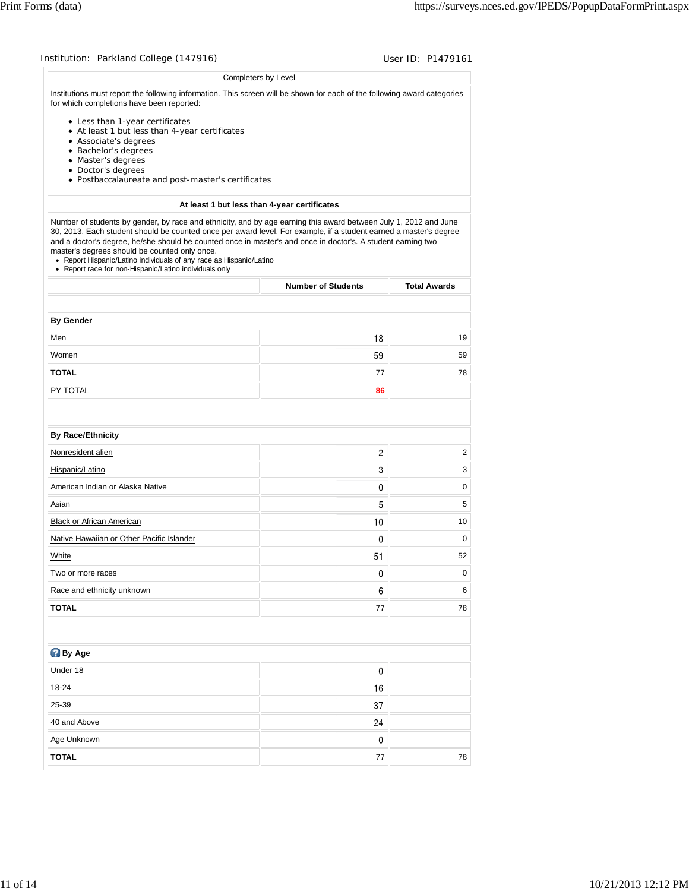|                                                                                                                                                                                                                                                                                                                                                                                                                     | Completers by Level                          |                     |
|---------------------------------------------------------------------------------------------------------------------------------------------------------------------------------------------------------------------------------------------------------------------------------------------------------------------------------------------------------------------------------------------------------------------|----------------------------------------------|---------------------|
| Institutions must report the following information. This screen will be shown for each of the following award categories<br>for which completions have been reported:                                                                                                                                                                                                                                               |                                              |                     |
| • Less than 1-year certificates                                                                                                                                                                                                                                                                                                                                                                                     |                                              |                     |
| • At least 1 but less than 4-year certificates<br>• Associate's degrees                                                                                                                                                                                                                                                                                                                                             |                                              |                     |
| • Bachelor's degrees                                                                                                                                                                                                                                                                                                                                                                                                |                                              |                     |
| • Master's degrees<br>• Doctor's degrees                                                                                                                                                                                                                                                                                                                                                                            |                                              |                     |
| • Postbaccalaureate and post-master's certificates                                                                                                                                                                                                                                                                                                                                                                  |                                              |                     |
|                                                                                                                                                                                                                                                                                                                                                                                                                     | At least 1 but less than 4-year certificates |                     |
| Number of students by gender, by race and ethnicity, and by age earning this award between July 1, 2012 and June                                                                                                                                                                                                                                                                                                    |                                              |                     |
| 30, 2013. Each student should be counted once per award level. For example, if a student earned a master's degree<br>and a doctor's degree, he/she should be counted once in master's and once in doctor's. A student earning two<br>master's degrees should be counted only once.<br>• Report Hispanic/Latino individuals of any race as Hispanic/Latino<br>• Report race for non-Hispanic/Latino individuals only |                                              |                     |
|                                                                                                                                                                                                                                                                                                                                                                                                                     | <b>Number of Students</b>                    | <b>Total Awards</b> |
|                                                                                                                                                                                                                                                                                                                                                                                                                     |                                              |                     |
| <b>By Gender</b><br>Men                                                                                                                                                                                                                                                                                                                                                                                             | 18                                           | 19                  |
| Women                                                                                                                                                                                                                                                                                                                                                                                                               | 59                                           | 59                  |
| <b>TOTAL</b>                                                                                                                                                                                                                                                                                                                                                                                                        | 77                                           | 78                  |
| PY TOTAL                                                                                                                                                                                                                                                                                                                                                                                                            | 86                                           |                     |
|                                                                                                                                                                                                                                                                                                                                                                                                                     |                                              |                     |
|                                                                                                                                                                                                                                                                                                                                                                                                                     |                                              |                     |
| <b>By Race/Ethnicity</b><br>Nonresident alien                                                                                                                                                                                                                                                                                                                                                                       | 2                                            | 2                   |
| Hispanic/Latino                                                                                                                                                                                                                                                                                                                                                                                                     | 3                                            | 3                   |
| American Indian or Alaska Native                                                                                                                                                                                                                                                                                                                                                                                    | 0                                            | 0                   |
| Asian                                                                                                                                                                                                                                                                                                                                                                                                               | 5                                            | 5                   |
| Black or African American                                                                                                                                                                                                                                                                                                                                                                                           | 10                                           | 10                  |
|                                                                                                                                                                                                                                                                                                                                                                                                                     | 0                                            | 0                   |
|                                                                                                                                                                                                                                                                                                                                                                                                                     |                                              |                     |
|                                                                                                                                                                                                                                                                                                                                                                                                                     |                                              |                     |
|                                                                                                                                                                                                                                                                                                                                                                                                                     | 51<br>0                                      | 52<br>0             |
| Race and ethnicity unknown                                                                                                                                                                                                                                                                                                                                                                                          | 6                                            |                     |
|                                                                                                                                                                                                                                                                                                                                                                                                                     |                                              | 6                   |
|                                                                                                                                                                                                                                                                                                                                                                                                                     | 77                                           | 78                  |
|                                                                                                                                                                                                                                                                                                                                                                                                                     |                                              |                     |
|                                                                                                                                                                                                                                                                                                                                                                                                                     |                                              |                     |
| Native Hawaiian or Other Pacific Islander<br>White<br>Two or more races<br><b>By Age</b><br>Under 18                                                                                                                                                                                                                                                                                                                | 0                                            |                     |
| <b>TOTAL</b><br>18-24                                                                                                                                                                                                                                                                                                                                                                                               | 16                                           |                     |
| 25-39                                                                                                                                                                                                                                                                                                                                                                                                               | 37                                           |                     |
| 40 and Above                                                                                                                                                                                                                                                                                                                                                                                                        | 24                                           |                     |
| Age Unknown                                                                                                                                                                                                                                                                                                                                                                                                         | 0                                            |                     |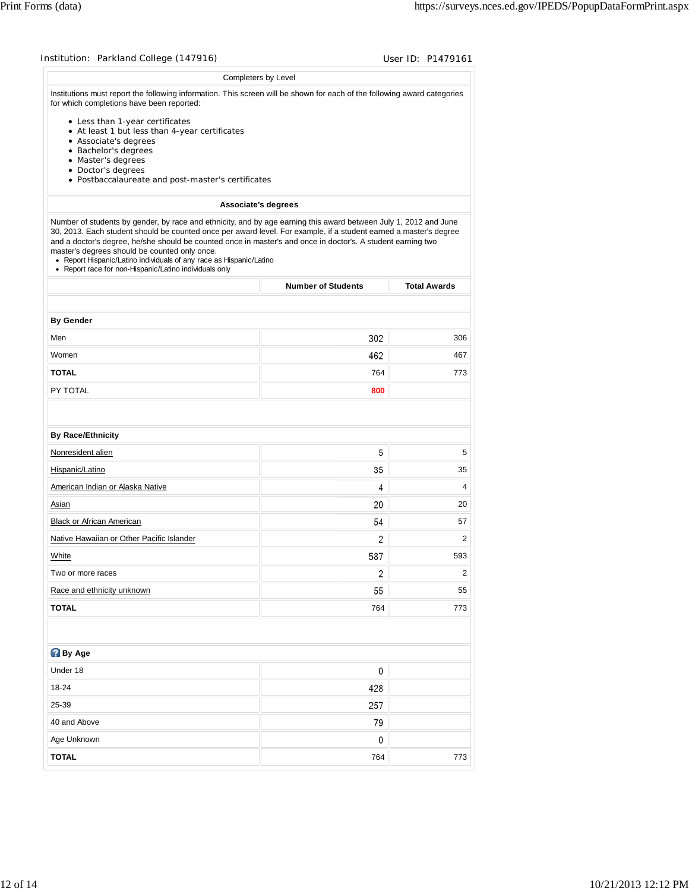| Completers by Level                                                                                                                                                                                                                                                                                                                                                                                                 |                           |                                 |
|---------------------------------------------------------------------------------------------------------------------------------------------------------------------------------------------------------------------------------------------------------------------------------------------------------------------------------------------------------------------------------------------------------------------|---------------------------|---------------------------------|
|                                                                                                                                                                                                                                                                                                                                                                                                                     |                           |                                 |
| Institutions must report the following information. This screen will be shown for each of the following award categories<br>for which completions have been reported:                                                                                                                                                                                                                                               |                           |                                 |
| • Less than 1-year certificates                                                                                                                                                                                                                                                                                                                                                                                     |                           |                                 |
| • At least 1 but less than 4-year certificates<br>• Associate's degrees                                                                                                                                                                                                                                                                                                                                             |                           |                                 |
| • Bachelor's degrees                                                                                                                                                                                                                                                                                                                                                                                                |                           |                                 |
| • Master's degrees<br>• Doctor's degrees                                                                                                                                                                                                                                                                                                                                                                            |                           |                                 |
| • Postbaccalaureate and post-master's certificates                                                                                                                                                                                                                                                                                                                                                                  |                           |                                 |
| <b>Associate's degrees</b>                                                                                                                                                                                                                                                                                                                                                                                          |                           |                                 |
| Number of students by gender, by race and ethnicity, and by age earning this award between July 1, 2012 and June                                                                                                                                                                                                                                                                                                    |                           |                                 |
| 30, 2013. Each student should be counted once per award level. For example, if a student earned a master's degree<br>and a doctor's degree, he/she should be counted once in master's and once in doctor's. A student earning two<br>master's degrees should be counted only once.<br>• Report Hispanic/Latino individuals of any race as Hispanic/Latino<br>• Report race for non-Hispanic/Latino individuals only |                           |                                 |
|                                                                                                                                                                                                                                                                                                                                                                                                                     | <b>Number of Students</b> | <b>Total Awards</b>             |
|                                                                                                                                                                                                                                                                                                                                                                                                                     |                           |                                 |
| <b>By Gender</b><br>Men                                                                                                                                                                                                                                                                                                                                                                                             | 302                       | 306                             |
| Women                                                                                                                                                                                                                                                                                                                                                                                                               | 462                       | 467                             |
| <b>TOTAL</b>                                                                                                                                                                                                                                                                                                                                                                                                        | 764                       | 773                             |
| PY TOTAL                                                                                                                                                                                                                                                                                                                                                                                                            | 800                       |                                 |
|                                                                                                                                                                                                                                                                                                                                                                                                                     |                           |                                 |
| <b>By Race/Ethnicity</b><br>Nonresident alien                                                                                                                                                                                                                                                                                                                                                                       | 5                         | 5                               |
| Hispanic/Latino                                                                                                                                                                                                                                                                                                                                                                                                     | 35                        |                                 |
| American Indian or Alaska Native                                                                                                                                                                                                                                                                                                                                                                                    | 4                         |                                 |
| Asian                                                                                                                                                                                                                                                                                                                                                                                                               | 20                        |                                 |
| Black or African American                                                                                                                                                                                                                                                                                                                                                                                           | 54                        |                                 |
| Native Hawaiian or Other Pacific Islander                                                                                                                                                                                                                                                                                                                                                                           | 2                         |                                 |
| White                                                                                                                                                                                                                                                                                                                                                                                                               | 587                       | 35<br>4<br>20<br>57<br>2<br>593 |
| Two or more races                                                                                                                                                                                                                                                                                                                                                                                                   | 2                         | $\overline{2}$                  |
| Race and ethnicity unknown                                                                                                                                                                                                                                                                                                                                                                                          | 55                        | 55                              |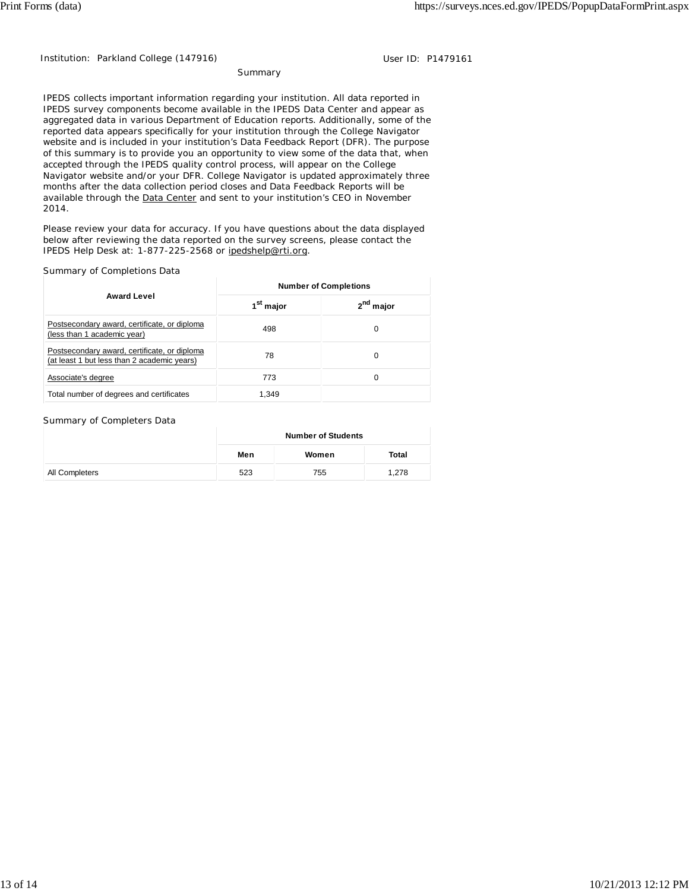Institution: Parkland College (147916) **Disk Report Accord Parkland College (1479161** User ID: P1479161

Summary

IPEDS collects important information regarding your institution. All data reported in IPEDS survey components become available in the IPEDS Data Center and appear as aggregated data in various Department of Education reports. Additionally, some of the reported data appears specifically for your institution through the College Navigator website and is included in your institution's Data Feedback Report (DFR). The purpose of this summary is to provide you an opportunity to view some of the data that, when accepted through the IPEDS quality control process, will appear on the College Navigator website and/or your DFR. College Navigator is updated approximately three months after the data collection period closes and Data Feedback Reports will be available through the Data Center and sent to your institution's CEO in November 2014.

Please review your data for accuracy. If you have questions about the data displayed below after reviewing the data reported on the survey screens, please contact the IPEDS Help Desk at: 1-877-225-2568 or ipedshelp@rti.org.

#### Summary of Completions Data

|                                                                                             | <b>Number of Completions</b> |                       |  |
|---------------------------------------------------------------------------------------------|------------------------------|-----------------------|--|
| <b>Award Level</b>                                                                          | 1 <sup>st</sup> major        | 2 <sup>nd</sup> major |  |
| Postsecondary award, certificate, or diploma<br>(less than 1 academic year)                 | 498                          | 0                     |  |
| Postsecondary award, certificate, or diploma<br>(at least 1 but less than 2 academic years) | 78                           | 0                     |  |
| Associate's degree                                                                          | 773                          | 0                     |  |
| Total number of degrees and certificates                                                    | 1.349                        |                       |  |

#### Summary of Completers Data

|                | <b>Number of Students</b> |       |       |  |
|----------------|---------------------------|-------|-------|--|
|                | Men                       | Women | Total |  |
| All Completers | 523                       | 755   | 1,278 |  |